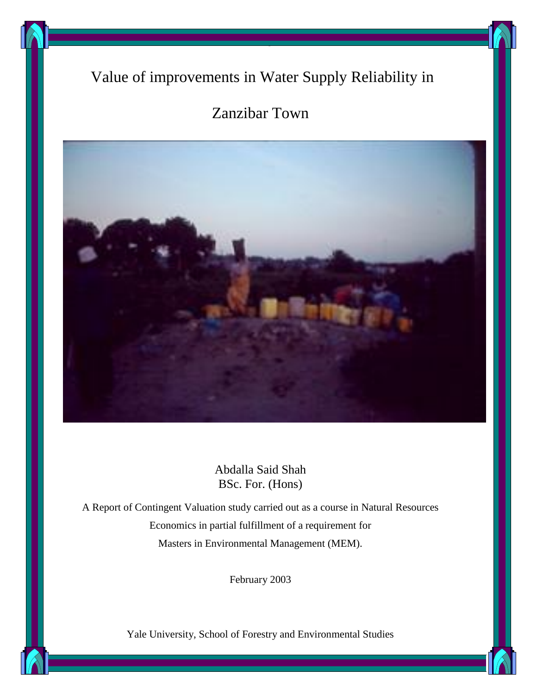# Value of improvements in Water Supply Reliability in

The

# Zanzibar Town



Abdalla Said Shah BSc. For. (Hons)

A Report of Contingent Valuation study carried out as a course in Natural Resources Economics in partial fulfillment of a requirement for Masters in Environmental Management (MEM).

February 2003

Yale University, School of Forestry and Environmental Studies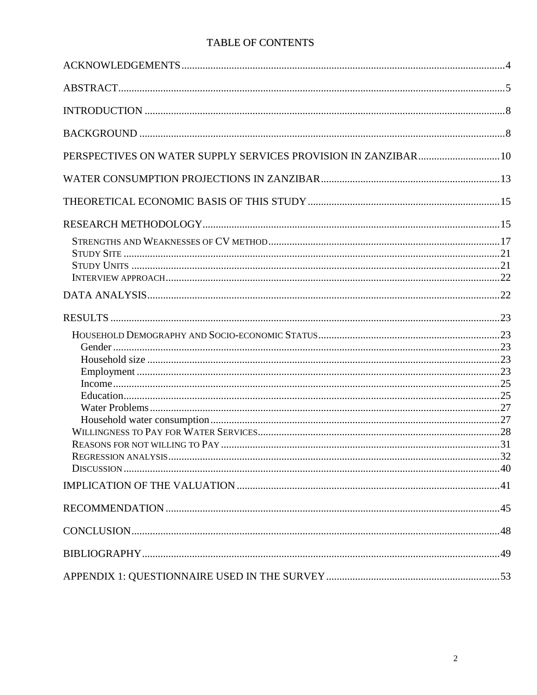## TABLE OF CONTENTS

| PERSPECTIVES ON WATER SUPPLY SERVICES PROVISION IN ZANZIBAR 10 |  |
|----------------------------------------------------------------|--|
|                                                                |  |
|                                                                |  |
|                                                                |  |
|                                                                |  |
|                                                                |  |
|                                                                |  |
|                                                                |  |
|                                                                |  |
|                                                                |  |
|                                                                |  |
|                                                                |  |
|                                                                |  |
|                                                                |  |
|                                                                |  |
|                                                                |  |
|                                                                |  |
|                                                                |  |
|                                                                |  |
|                                                                |  |
|                                                                |  |
|                                                                |  |
|                                                                |  |
|                                                                |  |
|                                                                |  |
|                                                                |  |
|                                                                |  |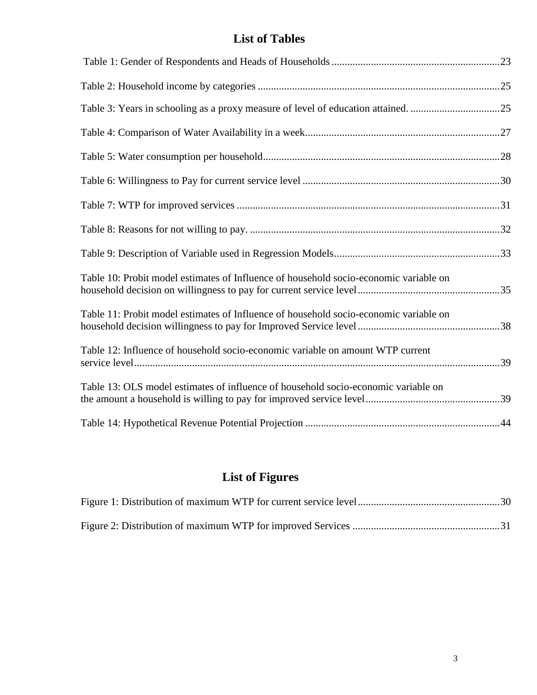# **List of Tables**

| Table 10: Probit model estimates of Influence of household socio-economic variable on |  |
|---------------------------------------------------------------------------------------|--|
| Table 11: Probit model estimates of Influence of household socio-economic variable on |  |
| Table 12: Influence of household socio-economic variable on amount WTP current        |  |
| Table 13: OLS model estimates of influence of household socio-economic variable on    |  |
|                                                                                       |  |

# **List of Figures**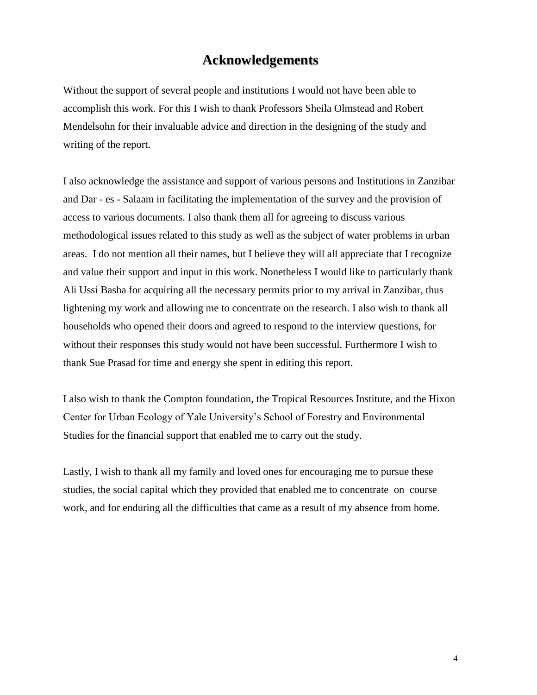# **Acknowledgements**

Without the support of several people and institutions I would not have been able to accomplish this work. For this I wish to thank Professors Sheila Olmstead and Robert Mendelsohn for their invaluable advice and direction in the designing of the study and writing of the report.

I also acknowledge the assistance and support of various persons and Institutions in Zanzibar and Dar - es - Salaam in facilitating the implementation of the survey and the provision of access to various documents. I also thank them all for agreeing to discuss various methodological issues related to this study as well as the subject of water problems in urban areas. I do not mention all their names, but I believe they will all appreciate that I recognize and value their support and input in this work. Nonetheless I would like to particularly thank Ali Ussi Basha for acquiring all the necessary permits prior to my arrival in Zanzibar, thus lightening my work and allowing me to concentrate on the research. I also wish to thank all households who opened their doors and agreed to respond to the interview questions, for without their responses this study would not have been successful. Furthermore I wish to thank Sue Prasad for time and energy she spent in editing this report.

I also wish to thank the Compton foundation, the Tropical Resources Institute, and the Hixon Center for Urban Ecology of Yale University's School of Forestry and Environmental Studies for the financial support that enabled me to carry out the study.

Lastly, I wish to thank all my family and loved ones for encouraging me to pursue these studies, the social capital which they provided that enabled me to concentrate on course work, and for enduring all the difficulties that came as a result of my absence from home.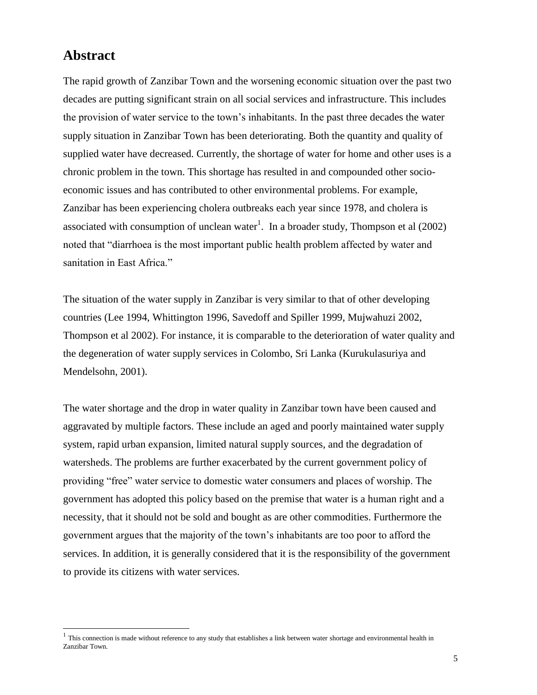## **Abstract**

 $\overline{a}$ 

The rapid growth of Zanzibar Town and the worsening economic situation over the past two decades are putting significant strain on all social services and infrastructure. This includes the provision of water service to the town's inhabitants. In the past three decades the water supply situation in Zanzibar Town has been deteriorating. Both the quantity and quality of supplied water have decreased. Currently, the shortage of water for home and other uses is a chronic problem in the town. This shortage has resulted in and compounded other socioeconomic issues and has contributed to other environmental problems. For example, Zanzibar has been experiencing cholera outbreaks each year since 1978, and cholera is associated with consumption of unclean water<sup>1</sup>. In a broader study, Thompson et al  $(2002)$ noted that "diarrhoea is the most important public health problem affected by water and sanitation in East Africa."

The situation of the water supply in Zanzibar is very similar to that of other developing countries (Lee 1994, Whittington 1996, Savedoff and Spiller 1999, Mujwahuzi 2002, Thompson et al 2002). For instance, it is comparable to the deterioration of water quality and the degeneration of water supply services in Colombo, Sri Lanka (Kurukulasuriya and Mendelsohn, 2001).

The water shortage and the drop in water quality in Zanzibar town have been caused and aggravated by multiple factors. These include an aged and poorly maintained water supply system, rapid urban expansion, limited natural supply sources, and the degradation of watersheds. The problems are further exacerbated by the current government policy of providing "free" water service to domestic water consumers and places of worship. The government has adopted this policy based on the premise that water is a human right and a necessity, that it should not be sold and bought as are other commodities. Furthermore the government argues that the majority of the town's inhabitants are too poor to afford the services. In addition, it is generally considered that it is the responsibility of the government to provide its citizens with water services.

 $<sup>1</sup>$  This connection is made without reference to any study that establishes a link between water shortage and environmental health in</sup> Zanzibar Town.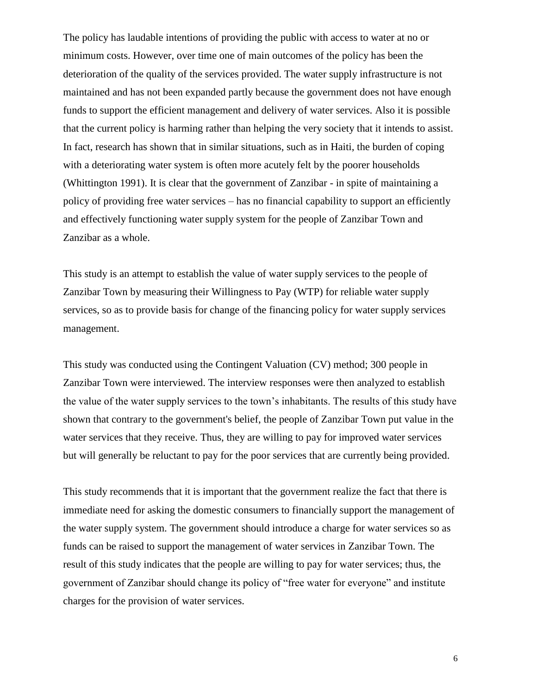The policy has laudable intentions of providing the public with access to water at no or minimum costs. However, over time one of main outcomes of the policy has been the deterioration of the quality of the services provided. The water supply infrastructure is not maintained and has not been expanded partly because the government does not have enough funds to support the efficient management and delivery of water services. Also it is possible that the current policy is harming rather than helping the very society that it intends to assist. In fact, research has shown that in similar situations, such as in Haiti, the burden of coping with a deteriorating water system is often more acutely felt by the poorer households (Whittington 1991). It is clear that the government of Zanzibar - in spite of maintaining a policy of providing free water services – has no financial capability to support an efficiently and effectively functioning water supply system for the people of Zanzibar Town and Zanzibar as a whole.

This study is an attempt to establish the value of water supply services to the people of Zanzibar Town by measuring their Willingness to Pay (WTP) for reliable water supply services, so as to provide basis for change of the financing policy for water supply services management.

This study was conducted using the Contingent Valuation (CV) method; 300 people in Zanzibar Town were interviewed. The interview responses were then analyzed to establish the value of the water supply services to the town's inhabitants. The results of this study have shown that contrary to the government's belief, the people of Zanzibar Town put value in the water services that they receive. Thus, they are willing to pay for improved water services but will generally be reluctant to pay for the poor services that are currently being provided.

This study recommends that it is important that the government realize the fact that there is immediate need for asking the domestic consumers to financially support the management of the water supply system. The government should introduce a charge for water services so as funds can be raised to support the management of water services in Zanzibar Town. The result of this study indicates that the people are willing to pay for water services; thus, the government of Zanzibar should change its policy of "free water for everyone" and institute charges for the provision of water services.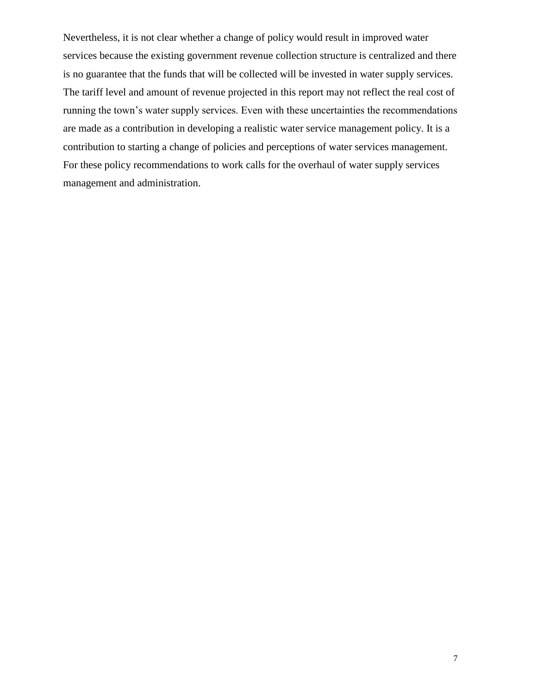Nevertheless, it is not clear whether a change of policy would result in improved water services because the existing government revenue collection structure is centralized and there is no guarantee that the funds that will be collected will be invested in water supply services. The tariff level and amount of revenue projected in this report may not reflect the real cost of running the town's water supply services. Even with these uncertainties the recommendations are made as a contribution in developing a realistic water service management policy. It is a contribution to starting a change of policies and perceptions of water services management. For these policy recommendations to work calls for the overhaul of water supply services management and administration.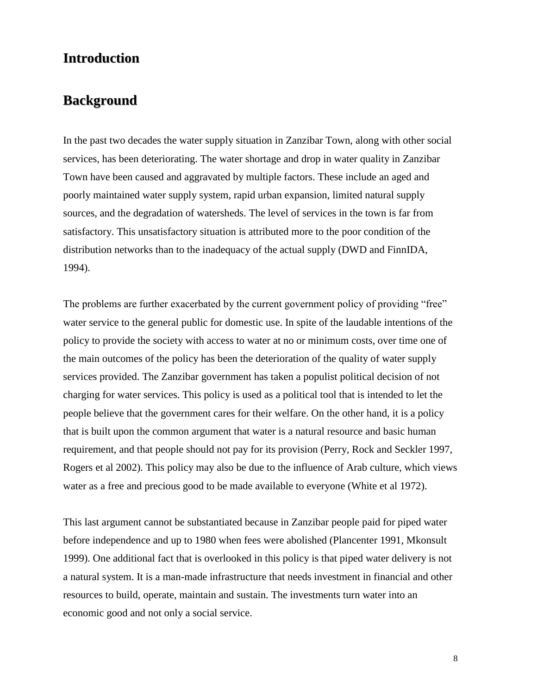# **Introduction**

## **Background**

In the past two decades the water supply situation in Zanzibar Town, along with other social services, has been deteriorating. The water shortage and drop in water quality in Zanzibar Town have been caused and aggravated by multiple factors. These include an aged and poorly maintained water supply system, rapid urban expansion, limited natural supply sources, and the degradation of watersheds. The level of services in the town is far from satisfactory. This unsatisfactory situation is attributed more to the poor condition of the distribution networks than to the inadequacy of the actual supply (DWD and FinnIDA, 1994).

The problems are further exacerbated by the current government policy of providing "free" water service to the general public for domestic use. In spite of the laudable intentions of the policy to provide the society with access to water at no or minimum costs, over time one of the main outcomes of the policy has been the deterioration of the quality of water supply services provided. The Zanzibar government has taken a populist political decision of not charging for water services. This policy is used as a political tool that is intended to let the people believe that the government cares for their welfare. On the other hand, it is a policy that is built upon the common argument that water is a natural resource and basic human requirement, and that people should not pay for its provision (Perry, Rock and Seckler 1997, Rogers et al 2002). This policy may also be due to the influence of Arab culture, which views water as a free and precious good to be made available to everyone (White et al 1972).

This last argument cannot be substantiated because in Zanzibar people paid for piped water before independence and up to 1980 when fees were abolished (Plancenter 1991, Mkonsult 1999). One additional fact that is overlooked in this policy is that piped water delivery is not a natural system. It is a man-made infrastructure that needs investment in financial and other resources to build, operate, maintain and sustain. The investments turn water into an economic good and not only a social service.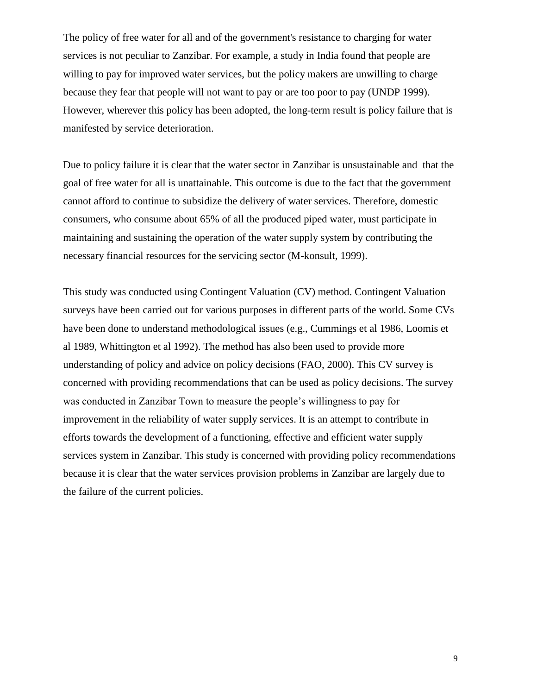The policy of free water for all and of the government's resistance to charging for water services is not peculiar to Zanzibar. For example, a study in India found that people are willing to pay for improved water services, but the policy makers are unwilling to charge because they fear that people will not want to pay or are too poor to pay (UNDP 1999). However, wherever this policy has been adopted, the long-term result is policy failure that is manifested by service deterioration.

Due to policy failure it is clear that the water sector in Zanzibar is unsustainable and that the goal of free water for all is unattainable. This outcome is due to the fact that the government cannot afford to continue to subsidize the delivery of water services. Therefore, domestic consumers, who consume about 65% of all the produced piped water, must participate in maintaining and sustaining the operation of the water supply system by contributing the necessary financial resources for the servicing sector (M-konsult, 1999).

This study was conducted using Contingent Valuation (CV) method. Contingent Valuation surveys have been carried out for various purposes in different parts of the world. Some CVs have been done to understand methodological issues (e.g., Cummings et al 1986, Loomis et al 1989, Whittington et al 1992). The method has also been used to provide more understanding of policy and advice on policy decisions (FAO, 2000). This CV survey is concerned with providing recommendations that can be used as policy decisions. The survey was conducted in Zanzibar Town to measure the people's willingness to pay for improvement in the reliability of water supply services. It is an attempt to contribute in efforts towards the development of a functioning, effective and efficient water supply services system in Zanzibar. This study is concerned with providing policy recommendations because it is clear that the water services provision problems in Zanzibar are largely due to the failure of the current policies.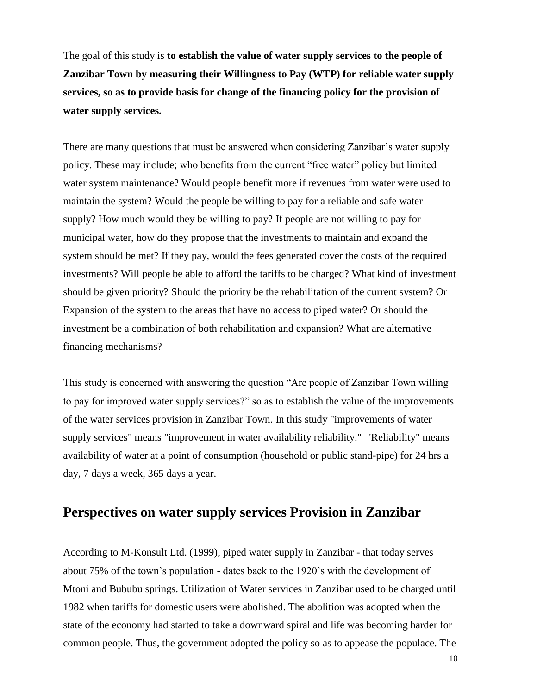The goal of this study is **to establish the value of water supply services to the people of Zanzibar Town by measuring their Willingness to Pay (WTP) for reliable water supply services, so as to provide basis for change of the financing policy for the provision of water supply services.**

There are many questions that must be answered when considering Zanzibar's water supply policy. These may include; who benefits from the current "free water" policy but limited water system maintenance? Would people benefit more if revenues from water were used to maintain the system? Would the people be willing to pay for a reliable and safe water supply? How much would they be willing to pay? If people are not willing to pay for municipal water, how do they propose that the investments to maintain and expand the system should be met? If they pay, would the fees generated cover the costs of the required investments? Will people be able to afford the tariffs to be charged? What kind of investment should be given priority? Should the priority be the rehabilitation of the current system? Or Expansion of the system to the areas that have no access to piped water? Or should the investment be a combination of both rehabilitation and expansion? What are alternative financing mechanisms?

This study is concerned with answering the question "Are people of Zanzibar Town willing to pay for improved water supply services?" so as to establish the value of the improvements of the water services provision in Zanzibar Town. In this study "improvements of water supply services" means "improvement in water availability reliability." "Reliability" means availability of water at a point of consumption (household or public stand-pipe) for 24 hrs a day, 7 days a week, 365 days a year.

### **Perspectives on water supply services Provision in Zanzibar**

According to M-Konsult Ltd. (1999), piped water supply in Zanzibar - that today serves about 75% of the town's population - dates back to the 1920's with the development of Mtoni and Bububu springs. Utilization of Water services in Zanzibar used to be charged until 1982 when tariffs for domestic users were abolished. The abolition was adopted when the state of the economy had started to take a downward spiral and life was becoming harder for common people. Thus, the government adopted the policy so as to appease the populace. The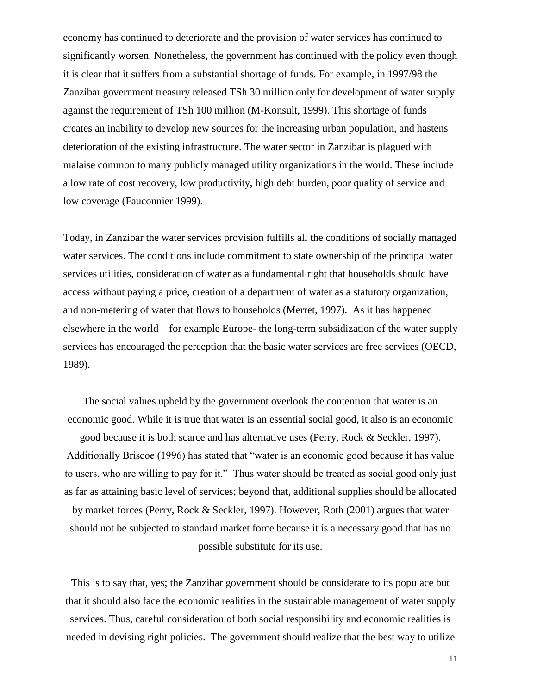economy has continued to deteriorate and the provision of water services has continued to significantly worsen. Nonetheless, the government has continued with the policy even though it is clear that it suffers from a substantial shortage of funds. For example, in 1997/98 the Zanzibar government treasury released TSh 30 million only for development of water supply against the requirement of TSh 100 million (M-Konsult, 1999). This shortage of funds creates an inability to develop new sources for the increasing urban population, and hastens deterioration of the existing infrastructure. The water sector in Zanzibar is plagued with malaise common to many publicly managed utility organizations in the world. These include a low rate of cost recovery, low productivity, high debt burden, poor quality of service and low coverage (Fauconnier 1999).

Today, in Zanzibar the water services provision fulfills all the conditions of socially managed water services. The conditions include commitment to state ownership of the principal water services utilities, consideration of water as a fundamental right that households should have access without paying a price, creation of a department of water as a statutory organization, and non-metering of water that flows to households (Merret, 1997). As it has happened elsewhere in the world – for example Europe- the long-term subsidization of the water supply services has encouraged the perception that the basic water services are free services (OECD, 1989).

The social values upheld by the government overlook the contention that water is an economic good. While it is true that water is an essential social good, it also is an economic good because it is both scarce and has alternative uses (Perry, Rock & Seckler, 1997). Additionally Briscoe (1996) has stated that "water is an economic good because it has value to users, who are willing to pay for it." Thus water should be treated as social good only just as far as attaining basic level of services; beyond that, additional supplies should be allocated by market forces (Perry, Rock & Seckler, 1997). However, Roth (2001) argues that water should not be subjected to standard market force because it is a necessary good that has no possible substitute for its use.

This is to say that, yes; the Zanzibar government should be considerate to its populace but that it should also face the economic realities in the sustainable management of water supply services. Thus, careful consideration of both social responsibility and economic realities is needed in devising right policies. The government should realize that the best way to utilize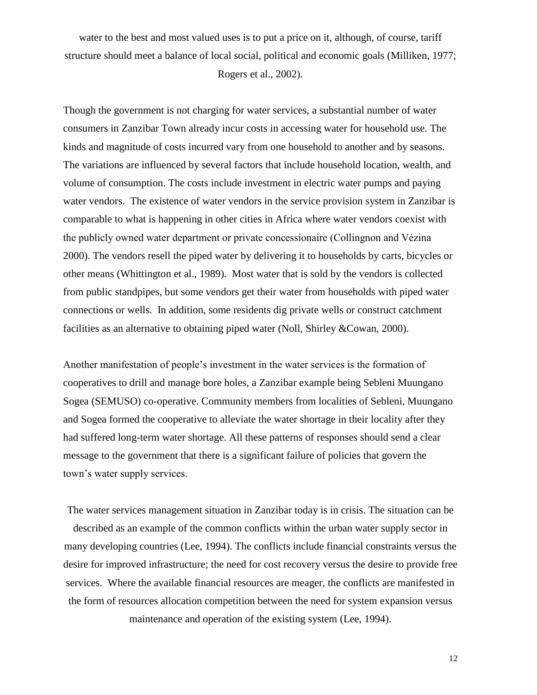water to the best and most valued uses is to put a price on it, although, of course, tariff structure should meet a balance of local social, political and economic goals (Milliken, 1977;

Rogers et al., 2002).

Though the government is not charging for water services, a substantial number of water consumers in Zanzibar Town already incur costs in accessing water for household use. The kinds and magnitude of costs incurred vary from one household to another and by seasons. The variations are influenced by several factors that include household location, wealth, and volume of consumption. The costs include investment in electric water pumps and paying water vendors. The existence of water vendors in the service provision system in Zanzibar is comparable to what is happening in other cities in Africa where water vendors coexist with the publicly owned water department or private concessionaire (Collingnon and Vẻzina 2000). The vendors resell the piped water by delivering it to households by carts, bicycles or other means (Whittington et al., 1989). Most water that is sold by the vendors is collected from public standpipes, but some vendors get their water from households with piped water connections or wells. In addition, some residents dig private wells or construct catchment facilities as an alternative to obtaining piped water (Noll, Shirley &Cowan, 2000).

Another manifestation of people's investment in the water services is the formation of cooperatives to drill and manage bore holes, a Zanzibar example being Sebleni Muungano Sogea (SEMUSO) co-operative. Community members from localities of Sebleni, Muungano and Sogea formed the cooperative to alleviate the water shortage in their locality after they had suffered long-term water shortage. All these patterns of responses should send a clear message to the government that there is a significant failure of policies that govern the town's water supply services.

The water services management situation in Zanzibar today is in crisis. The situation can be described as an example of the common conflicts within the urban water supply sector in many developing countries (Lee, 1994). The conflicts include financial constraints versus the desire for improved infrastructure; the need for cost recovery versus the desire to provide free services. Where the available financial resources are meager, the conflicts are manifested in the form of resources allocation competition between the need for system expansion versus maintenance and operation of the existing system (Lee, 1994).

12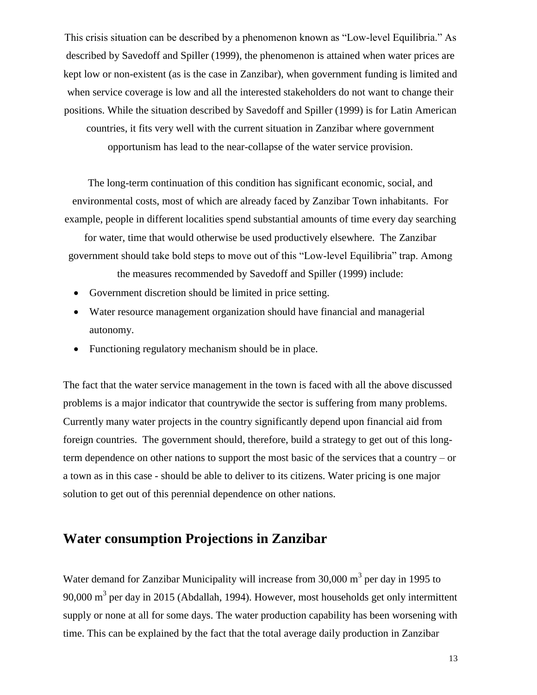This crisis situation can be described by a phenomenon known as "Low-level Equilibria." As described by Savedoff and Spiller (1999), the phenomenon is attained when water prices are kept low or non-existent (as is the case in Zanzibar), when government funding is limited and when service coverage is low and all the interested stakeholders do not want to change their positions. While the situation described by Savedoff and Spiller (1999) is for Latin American countries, it fits very well with the current situation in Zanzibar where government opportunism has lead to the near-collapse of the water service provision.

The long-term continuation of this condition has significant economic, social, and environmental costs, most of which are already faced by Zanzibar Town inhabitants. For example, people in different localities spend substantial amounts of time every day searching

for water, time that would otherwise be used productively elsewhere. The Zanzibar government should take bold steps to move out of this "Low-level Equilibria" trap. Among

the measures recommended by Savedoff and Spiller (1999) include:

- Government discretion should be limited in price setting.
- Water resource management organization should have financial and managerial autonomy.
- Functioning regulatory mechanism should be in place.

The fact that the water service management in the town is faced with all the above discussed problems is a major indicator that countrywide the sector is suffering from many problems. Currently many water projects in the country significantly depend upon financial aid from foreign countries. The government should, therefore, build a strategy to get out of this longterm dependence on other nations to support the most basic of the services that a country – or a town as in this case - should be able to deliver to its citizens. Water pricing is one major solution to get out of this perennial dependence on other nations.

# **Water consumption Projections in Zanzibar**

Water demand for Zanzibar Municipality will increase from  $30,000 \text{ m}^3$  per day in 1995 to 90,000  $\text{m}^3$  per day in 2015 (Abdallah, 1994). However, most households get only intermittent supply or none at all for some days. The water production capability has been worsening with time. This can be explained by the fact that the total average daily production in Zanzibar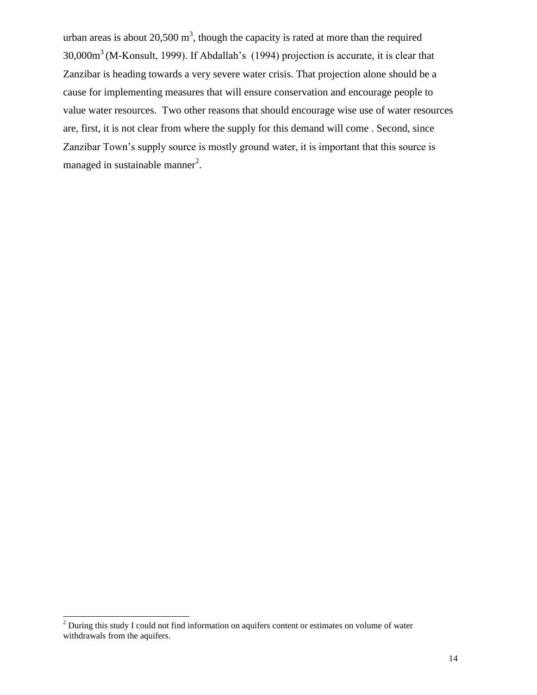urban areas is about 20,500 m<sup>3</sup>, though the capacity is rated at more than the required 30,000m<sup>3</sup>(M-Konsult, 1999). If Abdallah's (1994) projection is accurate, it is clear that Zanzibar is heading towards a very severe water crisis. That projection alone should be a cause for implementing measures that will ensure conservation and encourage people to value water resources. Two other reasons that should encourage wise use of water resources are, first, it is not clear from where the supply for this demand will come . Second, since Zanzibar Town's supply source is mostly ground water, it is important that this source is managed in sustainable manner<sup>2</sup>.

 $\overline{a}$ 

<sup>&</sup>lt;sup>2</sup> During this study I could not find information on aquifers content or estimates on volume of water withdrawals from the aquifers.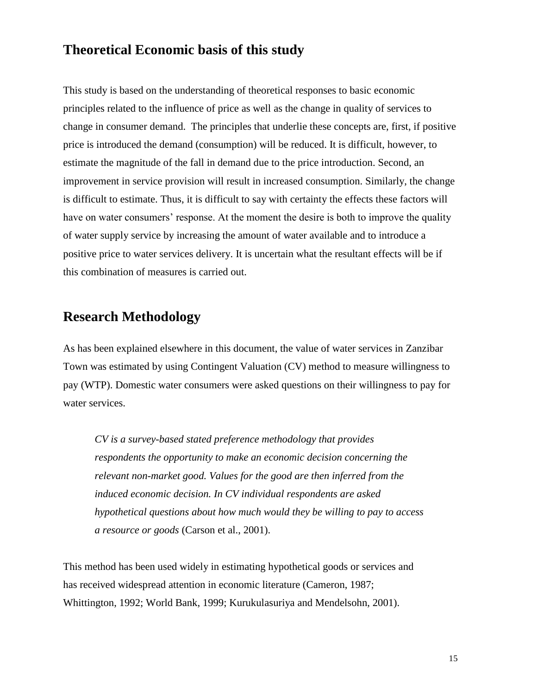## **Theoretical Economic basis of this study**

This study is based on the understanding of theoretical responses to basic economic principles related to the influence of price as well as the change in quality of services to change in consumer demand. The principles that underlie these concepts are, first, if positive price is introduced the demand (consumption) will be reduced. It is difficult, however, to estimate the magnitude of the fall in demand due to the price introduction. Second, an improvement in service provision will result in increased consumption. Similarly, the change is difficult to estimate. Thus, it is difficult to say with certainty the effects these factors will have on water consumers' response. At the moment the desire is both to improve the quality of water supply service by increasing the amount of water available and to introduce a positive price to water services delivery. It is uncertain what the resultant effects will be if this combination of measures is carried out.

# **Research Methodology**

As has been explained elsewhere in this document, the value of water services in Zanzibar Town was estimated by using Contingent Valuation (CV) method to measure willingness to pay (WTP). Domestic water consumers were asked questions on their willingness to pay for water services.

*CV is a survey-based stated preference methodology that provides respondents the opportunity to make an economic decision concerning the relevant non-market good. Values for the good are then inferred from the induced economic decision. In CV individual respondents are asked hypothetical questions about how much would they be willing to pay to access a resource or goods* (Carson et al., 2001).

This method has been used widely in estimating hypothetical goods or services and has received widespread attention in economic literature (Cameron, 1987; Whittington, 1992; World Bank, 1999; Kurukulasuriya and Mendelsohn, 2001).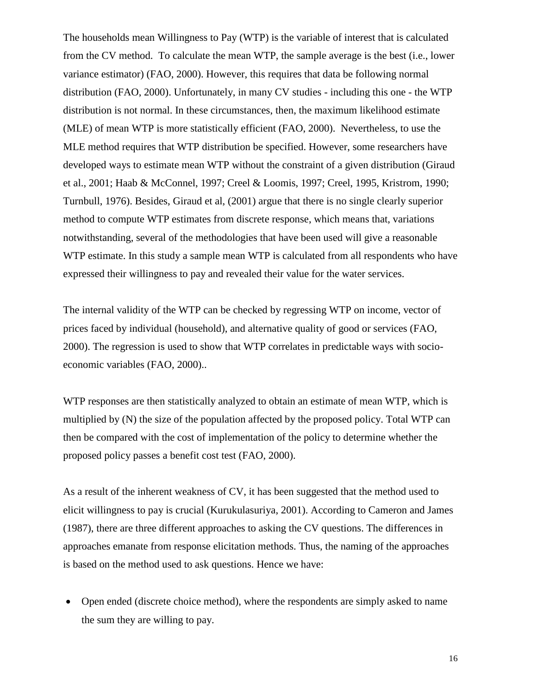The households mean Willingness to Pay (WTP) is the variable of interest that is calculated from the CV method. To calculate the mean WTP, the sample average is the best (i.e., lower variance estimator) (FAO, 2000). However, this requires that data be following normal distribution (FAO, 2000). Unfortunately, in many CV studies - including this one - the WTP distribution is not normal. In these circumstances, then, the maximum likelihood estimate (MLE) of mean WTP is more statistically efficient (FAO, 2000). Nevertheless, to use the MLE method requires that WTP distribution be specified. However, some researchers have developed ways to estimate mean WTP without the constraint of a given distribution (Giraud et al., 2001; Haab & McConnel, 1997; Creel & Loomis, 1997; Creel, 1995, Kristrom, 1990; Turnbull, 1976). Besides, Giraud et al, (2001) argue that there is no single clearly superior method to compute WTP estimates from discrete response, which means that, variations notwithstanding, several of the methodologies that have been used will give a reasonable WTP estimate. In this study a sample mean WTP is calculated from all respondents who have expressed their willingness to pay and revealed their value for the water services.

The internal validity of the WTP can be checked by regressing WTP on income, vector of prices faced by individual (household), and alternative quality of good or services (FAO, 2000). The regression is used to show that WTP correlates in predictable ways with socioeconomic variables (FAO, 2000)..

WTP responses are then statistically analyzed to obtain an estimate of mean WTP, which is multiplied by (N) the size of the population affected by the proposed policy. Total WTP can then be compared with the cost of implementation of the policy to determine whether the proposed policy passes a benefit cost test (FAO, 2000).

As a result of the inherent weakness of CV, it has been suggested that the method used to elicit willingness to pay is crucial (Kurukulasuriya, 2001). According to Cameron and James (1987), there are three different approaches to asking the CV questions. The differences in approaches emanate from response elicitation methods. Thus, the naming of the approaches is based on the method used to ask questions. Hence we have:

 Open ended (discrete choice method), where the respondents are simply asked to name the sum they are willing to pay.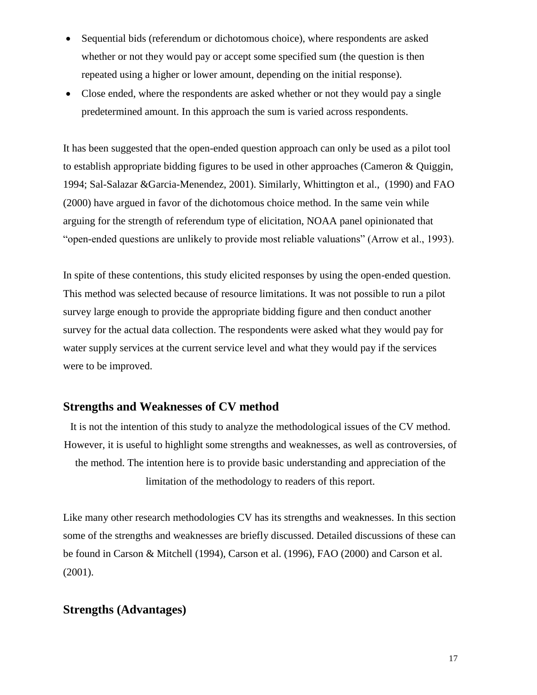- Sequential bids (referendum or dichotomous choice), where respondents are asked whether or not they would pay or accept some specified sum (the question is then repeated using a higher or lower amount, depending on the initial response).
- Close ended, where the respondents are asked whether or not they would pay a single predetermined amount. In this approach the sum is varied across respondents.

It has been suggested that the open-ended question approach can only be used as a pilot tool to establish appropriate bidding figures to be used in other approaches (Cameron & Quiggin, 1994; Sal-Salazar &Garcia-Menendez, 2001). Similarly, Whittington et al., (1990) and FAO (2000) have argued in favor of the dichotomous choice method. In the same vein while arguing for the strength of referendum type of elicitation, NOAA panel opinionated that "open-ended questions are unlikely to provide most reliable valuations" (Arrow et al., 1993).

In spite of these contentions, this study elicited responses by using the open-ended question. This method was selected because of resource limitations. It was not possible to run a pilot survey large enough to provide the appropriate bidding figure and then conduct another survey for the actual data collection. The respondents were asked what they would pay for water supply services at the current service level and what they would pay if the services were to be improved.

#### **Strengths and Weaknesses of CV method**

It is not the intention of this study to analyze the methodological issues of the CV method. However, it is useful to highlight some strengths and weaknesses, as well as controversies, of the method. The intention here is to provide basic understanding and appreciation of the limitation of the methodology to readers of this report.

Like many other research methodologies CV has its strengths and weaknesses. In this section some of the strengths and weaknesses are briefly discussed. Detailed discussions of these can be found in Carson & Mitchell (1994), Carson et al. (1996), FAO (2000) and Carson et al. (2001).

### **Strengths (Advantages)**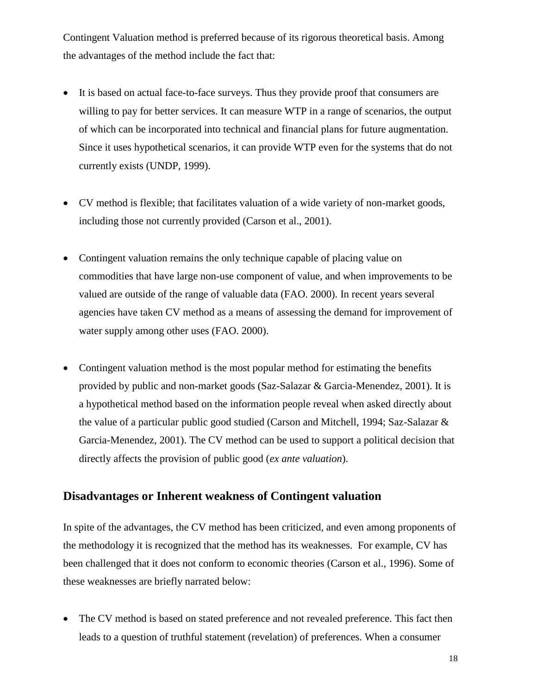Contingent Valuation method is preferred because of its rigorous theoretical basis. Among the advantages of the method include the fact that:

- It is based on actual face-to-face surveys. Thus they provide proof that consumers are willing to pay for better services. It can measure WTP in a range of scenarios, the output of which can be incorporated into technical and financial plans for future augmentation. Since it uses hypothetical scenarios, it can provide WTP even for the systems that do not currently exists (UNDP, 1999).
- CV method is flexible; that facilitates valuation of a wide variety of non-market goods, including those not currently provided (Carson et al., 2001).
- Contingent valuation remains the only technique capable of placing value on commodities that have large non-use component of value, and when improvements to be valued are outside of the range of valuable data (FAO. 2000). In recent years several agencies have taken CV method as a means of assessing the demand for improvement of water supply among other uses (FAO. 2000).
- Contingent valuation method is the most popular method for estimating the benefits provided by public and non-market goods (Saz-Salazar & Garcia-Menendez, 2001). It is a hypothetical method based on the information people reveal when asked directly about the value of a particular public good studied (Carson and Mitchell, 1994; Saz-Salazar & Garcia-Menendez, 2001). The CV method can be used to support a political decision that directly affects the provision of public good (*ex ante valuation*).

### **Disadvantages or Inherent weakness of Contingent valuation**

In spite of the advantages, the CV method has been criticized, and even among proponents of the methodology it is recognized that the method has its weaknesses. For example, CV has been challenged that it does not conform to economic theories (Carson et al., 1996). Some of these weaknesses are briefly narrated below:

• The CV method is based on stated preference and not revealed preference. This fact then leads to a question of truthful statement (revelation) of preferences. When a consumer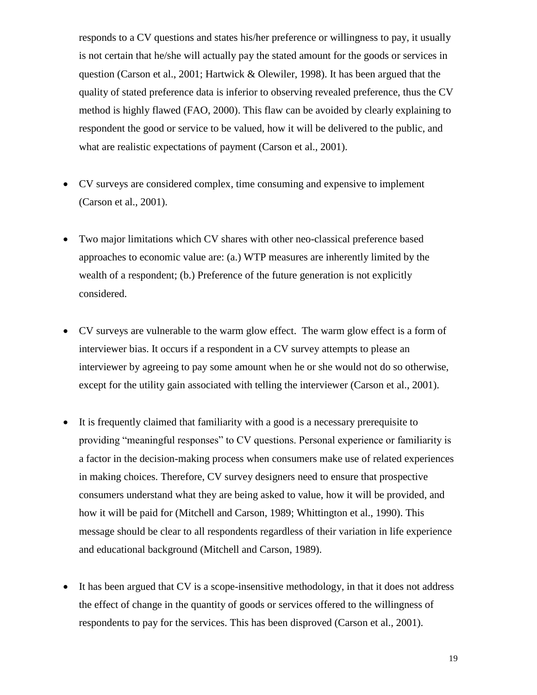responds to a CV questions and states his/her preference or willingness to pay, it usually is not certain that he/she will actually pay the stated amount for the goods or services in question (Carson et al., 2001; Hartwick & Olewiler, 1998). It has been argued that the quality of stated preference data is inferior to observing revealed preference, thus the CV method is highly flawed (FAO, 2000). This flaw can be avoided by clearly explaining to respondent the good or service to be valued, how it will be delivered to the public, and what are realistic expectations of payment (Carson et al., 2001).

- CV surveys are considered complex, time consuming and expensive to implement (Carson et al., 2001).
- Two major limitations which CV shares with other neo-classical preference based approaches to economic value are: (a.) WTP measures are inherently limited by the wealth of a respondent; (b.) Preference of the future generation is not explicitly considered.
- CV surveys are vulnerable to the warm glow effect. The warm glow effect is a form of interviewer bias. It occurs if a respondent in a CV survey attempts to please an interviewer by agreeing to pay some amount when he or she would not do so otherwise, except for the utility gain associated with telling the interviewer (Carson et al., 2001).
- It is frequently claimed that familiarity with a good is a necessary prerequisite to providing "meaningful responses" to CV questions. Personal experience or familiarity is a factor in the decision-making process when consumers make use of related experiences in making choices. Therefore, CV survey designers need to ensure that prospective consumers understand what they are being asked to value, how it will be provided, and how it will be paid for (Mitchell and Carson, 1989; Whittington et al., 1990). This message should be clear to all respondents regardless of their variation in life experience and educational background (Mitchell and Carson, 1989).
- It has been argued that CV is a scope-insensitive methodology, in that it does not address the effect of change in the quantity of goods or services offered to the willingness of respondents to pay for the services. This has been disproved (Carson et al., 2001).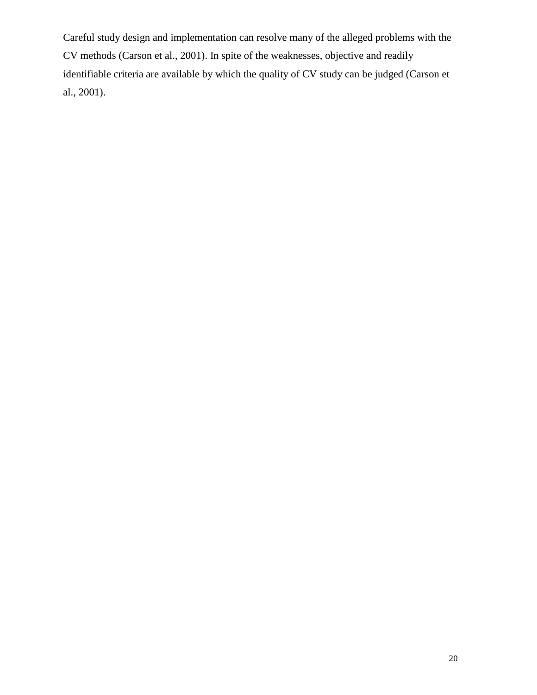Careful study design and implementation can resolve many of the alleged problems with the CV methods (Carson et al., 2001). In spite of the weaknesses, objective and readily identifiable criteria are available by which the quality of CV study can be judged (Carson et al., 2001).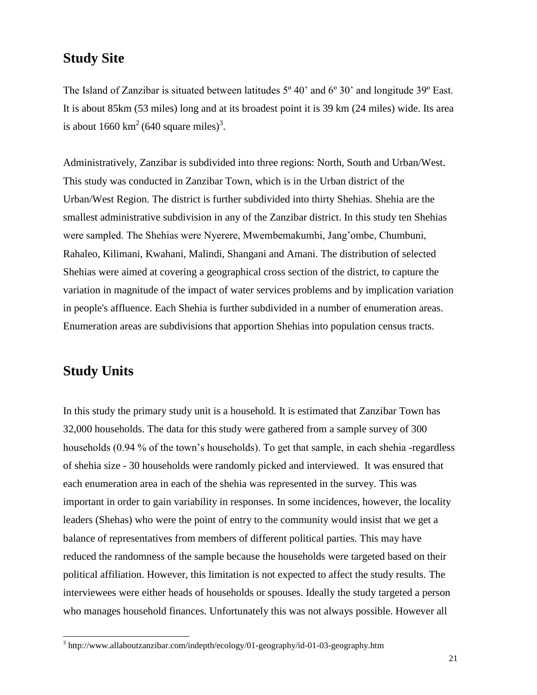### **Study Site**

The Island of Zanzibar is situated between latitudes  $5^{\circ}$  40' and  $6^{\circ}$  30' and longitude 39<sup>o</sup> East. It is about 85km (53 miles) long and at its broadest point it is 39 km (24 miles) wide. Its area is about 1660  $\text{km}^2$  (640 square miles)<sup>3</sup>.

Administratively, Zanzibar is subdivided into three regions: North, South and Urban/West. This study was conducted in Zanzibar Town, which is in the Urban district of the Urban/West Region. The district is further subdivided into thirty Shehias. Shehia are the smallest administrative subdivision in any of the Zanzibar district. In this study ten Shehias were sampled. The Shehias were Nyerere, Mwembemakumbi, Jang'ombe, Chumbuni, Rahaleo, Kilimani, Kwahani, Malindi, Shangani and Amani. The distribution of selected Shehias were aimed at covering a geographical cross section of the district, to capture the variation in magnitude of the impact of water services problems and by implication variation in people's affluence. Each Shehia is further subdivided in a number of enumeration areas. Enumeration areas are subdivisions that apportion Shehias into population census tracts.

# **Study Units**

 $\overline{a}$ 

In this study the primary study unit is a household. It is estimated that Zanzibar Town has 32,000 households. The data for this study were gathered from a sample survey of 300 households (0.94 % of the town's households). To get that sample, in each shehia -regardless of shehia size - 30 households were randomly picked and interviewed. It was ensured that each enumeration area in each of the shehia was represented in the survey. This was important in order to gain variability in responses. In some incidences, however, the locality leaders (Shehas) who were the point of entry to the community would insist that we get a balance of representatives from members of different political parties. This may have reduced the randomness of the sample because the households were targeted based on their political affiliation. However, this limitation is not expected to affect the study results. The interviewees were either heads of households or spouses. Ideally the study targeted a person who manages household finances. Unfortunately this was not always possible. However all

<sup>&</sup>lt;sup>3</sup> http://www.allaboutzanzibar.com/indepth/ecology/01-geography/id-01-03-geography.htm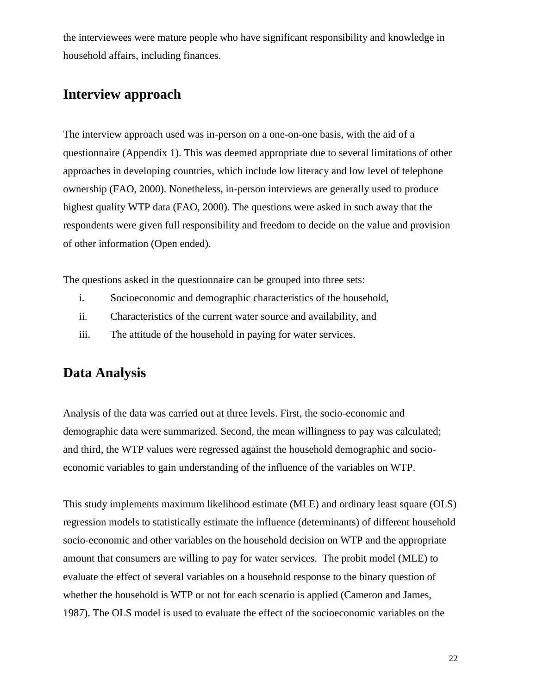the interviewees were mature people who have significant responsibility and knowledge in household affairs, including finances.

# **Interview approach**

The interview approach used was in-person on a one-on-one basis, with the aid of a questionnaire (Appendix 1). This was deemed appropriate due to several limitations of other approaches in developing countries, which include low literacy and low level of telephone ownership (FAO, 2000). Nonetheless, in-person interviews are generally used to produce highest quality WTP data (FAO, 2000). The questions were asked in such away that the respondents were given full responsibility and freedom to decide on the value and provision of other information (Open ended).

The questions asked in the questionnaire can be grouped into three sets:

- i. Socioeconomic and demographic characteristics of the household,
- ii. Characteristics of the current water source and availability, and
- iii. The attitude of the household in paying for water services.

# **Data Analysis**

Analysis of the data was carried out at three levels. First, the socio-economic and demographic data were summarized. Second, the mean willingness to pay was calculated; and third, the WTP values were regressed against the household demographic and socioeconomic variables to gain understanding of the influence of the variables on WTP.

This study implements maximum likelihood estimate (MLE) and ordinary least square (OLS) regression models to statistically estimate the influence (determinants) of different household socio-economic and other variables on the household decision on WTP and the appropriate amount that consumers are willing to pay for water services. The probit model (MLE) to evaluate the effect of several variables on a household response to the binary question of whether the household is WTP or not for each scenario is applied (Cameron and James, 1987). The OLS model is used to evaluate the effect of the socioeconomic variables on the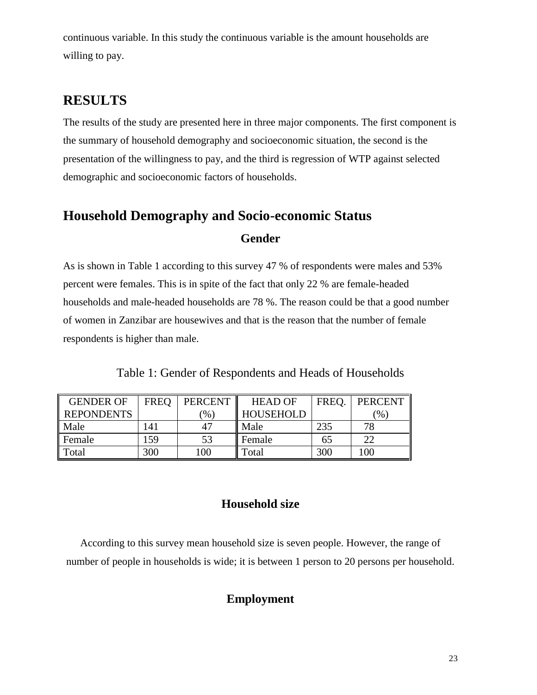continuous variable. In this study the continuous variable is the amount households are willing to pay.

# **RESULTS**

The results of the study are presented here in three major components. The first component is the summary of household demography and socioeconomic situation, the second is the presentation of the willingness to pay, and the third is regression of WTP against selected demographic and socioeconomic factors of households.

# **Household Demography and Socio-economic Status**

#### **Gender**

As is shown in Table 1 according to this survey 47 % of respondents were males and 53% percent were females. This is in spite of the fact that only 22 % are female-headed households and male-headed households are 78 %. The reason could be that a good number of women in Zanzibar are housewives and that is the reason that the number of female respondents is higher than male.

Table 1: Gender of Respondents and Heads of Households

<span id="page-22-0"></span>

| <b>GENDER OF</b>  | <b>FREO</b>         | <b>PERCENT</b>    | <b>HEAD OF</b>   | FREO. | <b>PERCENT</b> |
|-------------------|---------------------|-------------------|------------------|-------|----------------|
| <b>REPONDENTS</b> |                     | $\mathcal{O}_0$ ) | <b>HOUSEHOLD</b> |       | $\frac{1}{2}$  |
| Male              | $\lfloor 4 \rfloor$ | 47                | Male             | 235   | 78             |
| <b>Female</b>     | .59                 | 53                | Female           | 65    | 22             |
| Total             | 300                 | 100               | Total            | 300   | 100            |

# **Household size**

According to this survey mean household size is seven people. However, the range of number of people in households is wide; it is between 1 person to 20 persons per household.

### **Employment**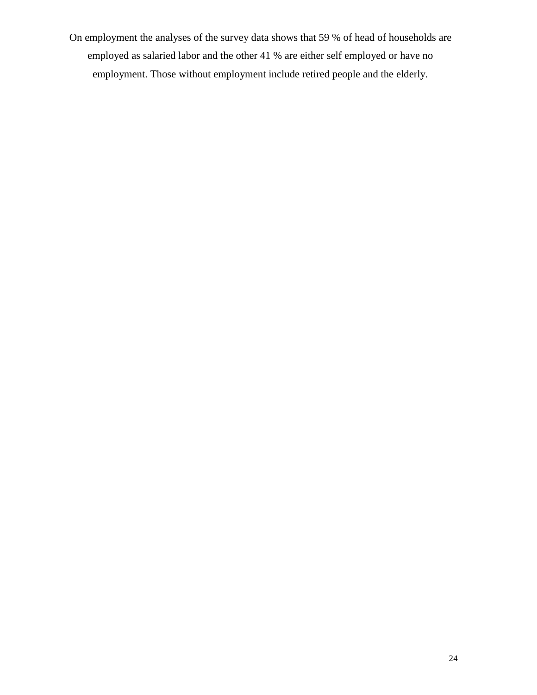On employment the analyses of the survey data shows that 59 % of head of households are employed as salaried labor and the other 41 % are either self employed or have no employment. Those without employment include retired people and the elderly.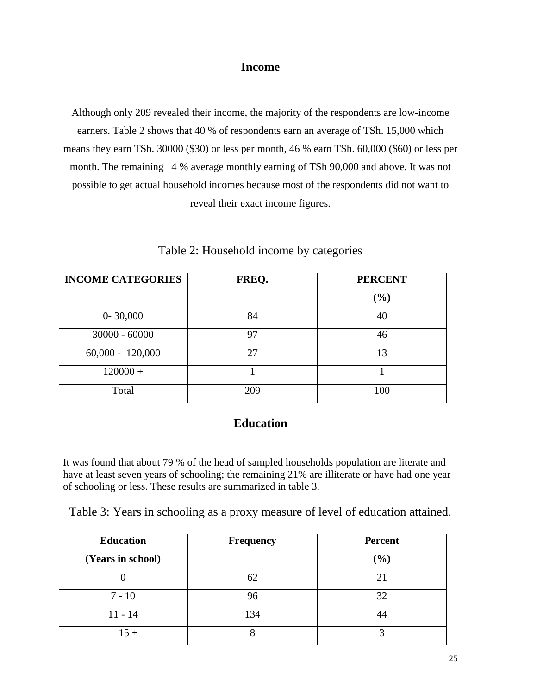#### **Income**

Although only 209 revealed their income, the majority of the respondents are low-income earners. Table 2 shows that 40 % of respondents earn an average of TSh. 15,000 which means they earn TSh. 30000 (\$30) or less per month, 46 % earn TSh. 60,000 (\$60) or less per month. The remaining 14 % average monthly earning of TSh 90,000 and above. It was not possible to get actual household incomes because most of the respondents did not want to reveal their exact income figures.

<span id="page-24-0"></span>

| <b>INCOME CATEGORIES</b> | FREQ. | <b>PERCENT</b> |
|--------------------------|-------|----------------|
|                          |       | $(\%)$         |
| $0 - 30,000$             | 84    | 40             |
| $30000 - 60000$          | 97    | 46             |
| $60,000 - 120,000$       | 27    | 13             |
| $120000 +$               |       |                |
| Total                    | 209   | 100            |

Table 2: Household income by categories

### **Education**

It was found that about 79 % of the head of sampled households population are literate and have at least seven years of schooling; the remaining 21% are illiterate or have had one year of schooling or less. These results are summarized in table 3.

<span id="page-24-1"></span>Table 3: Years in schooling as a proxy measure of level of education attained.

| <b>Education</b>  | <b>Frequency</b> | <b>Percent</b> |
|-------------------|------------------|----------------|
| (Years in school) |                  | $(\%)$         |
|                   | 62               | 21             |
| $7 - 10$          | 96               | 32             |
| $11 - 14$         | 134              |                |
| $15 +$            | О                |                |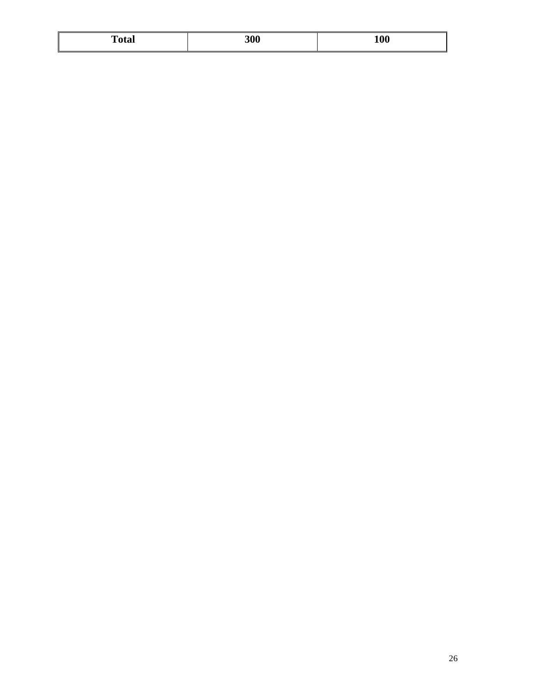| <b>Total</b> | 300 | <b>100</b> |
|--------------|-----|------------|
|              |     |            |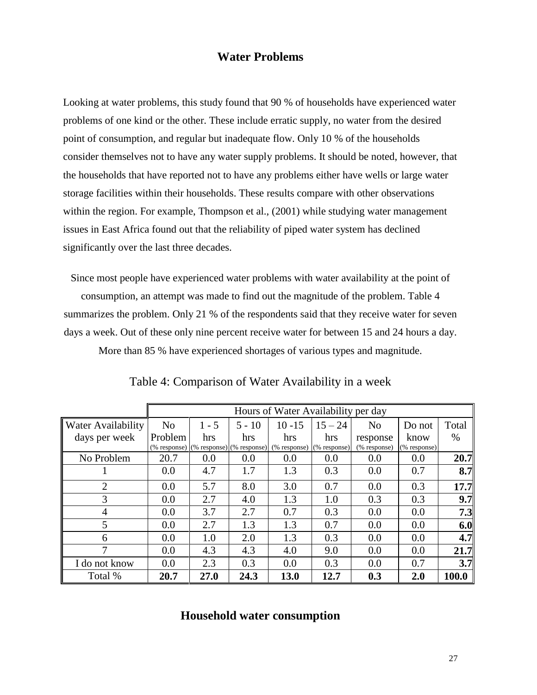#### **Water Problems**

Looking at water problems, this study found that 90 % of households have experienced water problems of one kind or the other. These include erratic supply, no water from the desired point of consumption, and regular but inadequate flow. Only 10 % of the households consider themselves not to have any water supply problems. It should be noted, however, that the households that have reported not to have any problems either have wells or large water storage facilities within their households. These results compare with other observations within the region. For example, Thompson et al., (2001) while studying water management issues in East Africa found out that the reliability of piped water system has declined significantly over the last three decades.

Since most people have experienced water problems with water availability at the point of consumption, an attempt was made to find out the magnitude of the problem. Table 4 summarizes the problem. Only 21 % of the respondents said that they receive water for seven days a week. Out of these only nine percent receive water for between 15 and 24 hours a day.

More than 85 % have experienced shortages of various types and magnitude.

<span id="page-26-0"></span>

|                           |                | Hours of Water Availability per day |          |              |              |                |              |                  |
|---------------------------|----------------|-------------------------------------|----------|--------------|--------------|----------------|--------------|------------------|
| <b>Water Availability</b> | N <sub>o</sub> | $1 - 5$                             | $5 - 10$ | $10 - 15$    | $15 - 24$    | N <sub>0</sub> | Do not       | Total            |
| days per week             | Problem        | hrs                                 | hrs      | hrs          | hrs          | response       | know         | $\%$             |
|                           | (% response)   | $(\%$ response) $(\%$ response)     |          | (% response) | (% response) | (% response)   | (% response) |                  |
| No Problem                | 20.7           | 0.0                                 | 0.0      | 0.0          | 0.0          | 0.0            | 0.0          | 20.7             |
|                           | 0.0            | 4.7                                 | 1.7      | 1.3          | 0.3          | 0.0            | 0.7          | 8.7              |
| $\overline{2}$            | 0.0            | 5.7                                 | 8.0      | 3.0          | 0.7          | 0.0            | 0.3          | 17.7             |
| 3                         | 0.0            | 2.7                                 | 4.0      | 1.3          | 1.0          | 0.3            | 0.3          | 9.7              |
| 4                         | 0.0            | 3.7                                 | 2.7      | 0.7          | 0.3          | 0.0            | 0.0          | 7.3              |
| 5                         | 0.0            | 2.7                                 | 1.3      | 1.3          | 0.7          | 0.0            | 0.0          | 6.0              |
| 6                         | 0.0            | 1.0                                 | 2.0      | 1.3          | 0.3          | 0.0            | 0.0          | 4.7 <sub>l</sub> |
| $\tau$                    | 0.0            | 4.3                                 | 4.3      | 4.0          | 9.0          | 0.0            | 0.0          | 21.7             |
| I do not know             | 0.0            | 2.3                                 | 0.3      | 0.0          | 0.3          | 0.0            | 0.7          | 3.7              |
| Total %                   | 20.7           | 27.0                                | 24.3     | 13.0         | 12.7         | 0.3            | 2.0          | 100.0            |

Table 4: Comparison of Water Availability in a week

### **Household water consumption**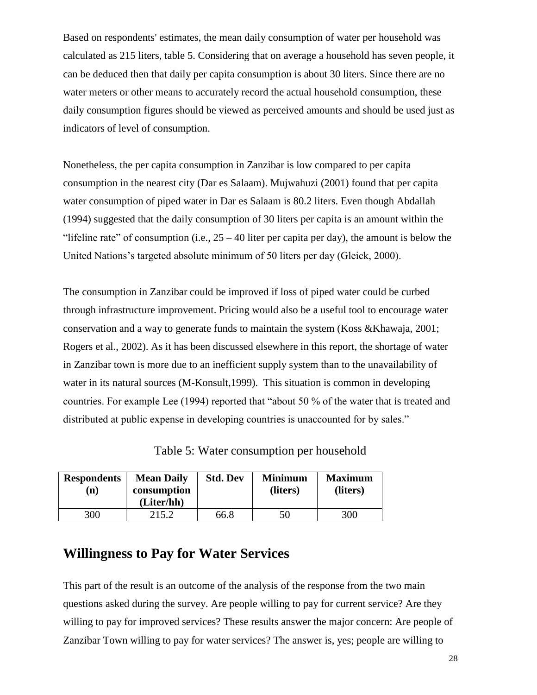Based on respondents' estimates, the mean daily consumption of water per household was calculated as 215 liters, table 5. Considering that on average a household has seven people, it can be deduced then that daily per capita consumption is about 30 liters. Since there are no water meters or other means to accurately record the actual household consumption, these daily consumption figures should be viewed as perceived amounts and should be used just as indicators of level of consumption.

Nonetheless, the per capita consumption in Zanzibar is low compared to per capita consumption in the nearest city (Dar es Salaam). Mujwahuzi (2001) found that per capita water consumption of piped water in Dar es Salaam is 80.2 liters. Even though Abdallah (1994) suggested that the daily consumption of 30 liters per capita is an amount within the "lifeline rate" of consumption (i.e.,  $25 - 40$  liter per capita per day), the amount is below the United Nations's targeted absolute minimum of 50 liters per day (Gleick, 2000).

The consumption in Zanzibar could be improved if loss of piped water could be curbed through infrastructure improvement. Pricing would also be a useful tool to encourage water conservation and a way to generate funds to maintain the system (Koss &Khawaja, 2001; Rogers et al., 2002). As it has been discussed elsewhere in this report, the shortage of water in Zanzibar town is more due to an inefficient supply system than to the unavailability of water in its natural sources (M-Konsult,1999). This situation is common in developing countries. For example Lee (1994) reported that "about 50 % of the water that is treated and distributed at public expense in developing countries is unaccounted for by sales."

Table 5: Water consumption per household

<span id="page-27-0"></span>

| <b>Respondents</b><br>n) | <b>Mean Daily</b><br>consumption<br>(Liter/hh) | <b>Std. Dev</b> | <b>Minimum</b><br>(liters) | <b>Maximum</b><br>(liters) |
|--------------------------|------------------------------------------------|-----------------|----------------------------|----------------------------|
| <b>300</b>               | 215.2                                          | 66.8            | 50                         | 300                        |

## **Willingness to Pay for Water Services**

This part of the result is an outcome of the analysis of the response from the two main questions asked during the survey. Are people willing to pay for current service? Are they willing to pay for improved services? These results answer the major concern: Are people of Zanzibar Town willing to pay for water services? The answer is, yes; people are willing to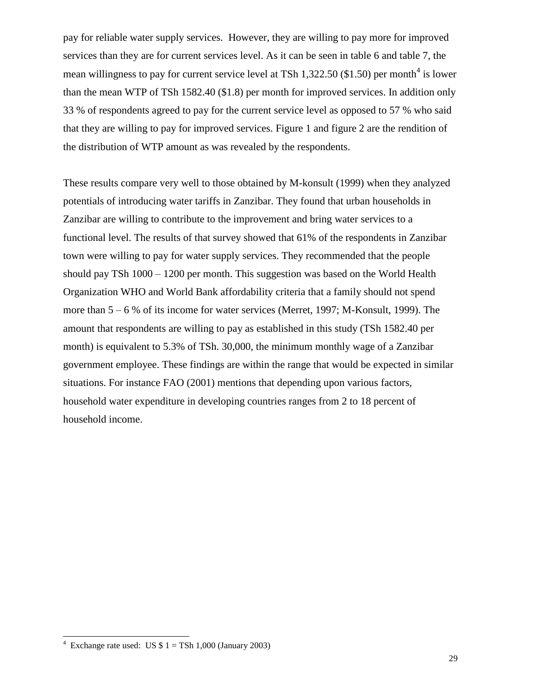pay for reliable water supply services. However, they are willing to pay more for improved services than they are for current services level. As it can be seen in table 6 and table 7, the mean willingness to pay for current service level at TSh 1,322.50 (\$1.50) per month<sup>4</sup> is lower than the mean WTP of TSh 1582.40 (\$1.8) per month for improved services. In addition only 33 % of respondents agreed to pay for the current service level as opposed to 57 % who said that they are willing to pay for improved services. Figure 1 and figure 2 are the rendition of the distribution of WTP amount as was revealed by the respondents.

These results compare very well to those obtained by M-konsult (1999) when they analyzed potentials of introducing water tariffs in Zanzibar. They found that urban households in Zanzibar are willing to contribute to the improvement and bring water services to a functional level. The results of that survey showed that 61% of the respondents in Zanzibar town were willing to pay for water supply services. They recommended that the people should pay TSh 1000 – 1200 per month. This suggestion was based on the World Health Organization WHO and World Bank affordability criteria that a family should not spend more than 5 – 6 % of its income for water services (Merret, 1997; M-Konsult, 1999). The amount that respondents are willing to pay as established in this study (TSh 1582.40 per month) is equivalent to 5.3% of TSh. 30,000, the minimum monthly wage of a Zanzibar government employee. These findings are within the range that would be expected in similar situations. For instance FAO (2001) mentions that depending upon various factors, household water expenditure in developing countries ranges from 2 to 18 percent of household income.

 $\overline{a}$ 

<sup>4</sup> Exchange rate used: US  $$ 1 = TSh 1,000$  (January 2003)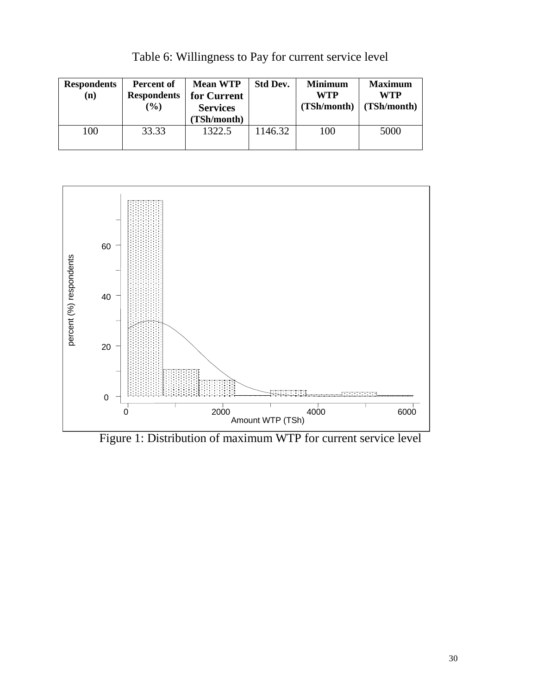<span id="page-29-0"></span>

| <b>Respondents</b><br>$\bf(n)$ | Percent of<br><b>Respondents</b><br>$\mathcal{O}(6)$ | <b>Mean WTP</b><br>for Current<br><b>Services</b><br>(TSh/month) | <b>Std Dev.</b> | <b>Minimum</b><br><b>WTP</b><br>(TSh/month) | <b>Maximum</b><br>WTP<br>(TSh/month) |
|--------------------------------|------------------------------------------------------|------------------------------------------------------------------|-----------------|---------------------------------------------|--------------------------------------|
| 100                            | 33.33                                                | 1322.5                                                           | 1146.32         | 100                                         | 5000                                 |

Table 6: Willingness to Pay for current service level



<span id="page-29-1"></span>Figure 1: Distribution of maximum WTP for current service level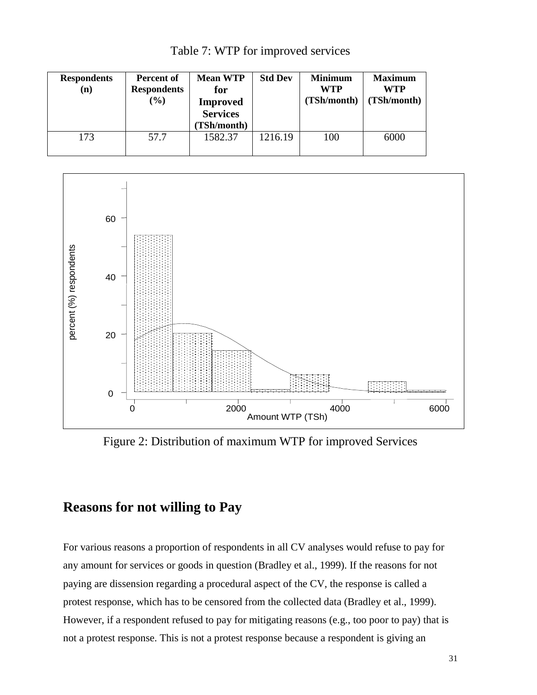<span id="page-30-0"></span>

| <b>Respondents</b><br>(n) | Percent of<br><b>Respondents</b><br>$(\%)$ | <b>Mean WTP</b><br>for<br><b>Improved</b><br><b>Services</b><br><b>TSh/month)</b> | <b>Std Dev</b> | <b>Minimum</b><br><b>WTP</b><br>(TSh/month) | <b>Maximum</b><br><b>WTP</b><br>(TSh/month) |
|---------------------------|--------------------------------------------|-----------------------------------------------------------------------------------|----------------|---------------------------------------------|---------------------------------------------|
| 173                       | 57.7                                       | 1582.37                                                                           | 1216.19        | 100                                         | 6000                                        |

Table 7: WTP for improved services



<span id="page-30-1"></span>Figure 2: Distribution of maximum WTP for improved Services

# **Reasons for not willing to Pay**

For various reasons a proportion of respondents in all CV analyses would refuse to pay for any amount for services or goods in question (Bradley et al., 1999). If the reasons for not paying are dissension regarding a procedural aspect of the CV, the response is called a protest response, which has to be censored from the collected data (Bradley et al., 1999). However, if a respondent refused to pay for mitigating reasons (e.g., too poor to pay) that is not a protest response. This is not a protest response because a respondent is giving an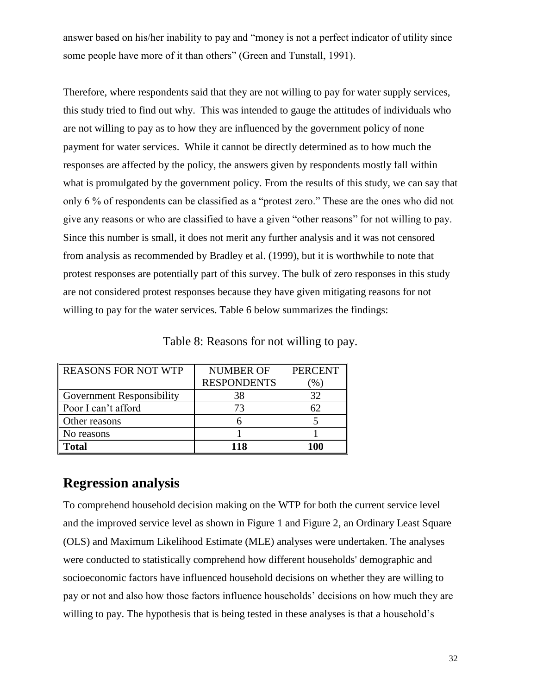answer based on his/her inability to pay and "money is not a perfect indicator of utility since some people have more of it than others" (Green and Tunstall, 1991).

Therefore, where respondents said that they are not willing to pay for water supply services, this study tried to find out why. This was intended to gauge the attitudes of individuals who are not willing to pay as to how they are influenced by the government policy of none payment for water services. While it cannot be directly determined as to how much the responses are affected by the policy, the answers given by respondents mostly fall within what is promulgated by the government policy. From the results of this study, we can say that only 6 % of respondents can be classified as a "protest zero." These are the ones who did not give any reasons or who are classified to have a given "other reasons" for not willing to pay. Since this number is small, it does not merit any further analysis and it was not censored from analysis as recommended by Bradley et al. (1999), but it is worthwhile to note that protest responses are potentially part of this survey. The bulk of zero responses in this study are not considered protest responses because they have given mitigating reasons for not willing to pay for the water services. Table 6 below summarizes the findings:

<span id="page-31-0"></span>

| <b>REASONS FOR NOT WTP</b>       | <b>NUMBER OF</b>   | <b>PERCENT</b>      |
|----------------------------------|--------------------|---------------------|
|                                  | <b>RESPONDENTS</b> | $\left( \% \right)$ |
| <b>Government Responsibility</b> | 38                 | 32                  |
| Poor I can't afford              | 73                 | 62                  |
| Other reasons                    |                    |                     |
| No reasons                       |                    |                     |
| <b>Total</b>                     | 118                | 100                 |

Table 8: Reasons for not willing to pay.

### **Regression analysis**

To comprehend household decision making on the WTP for both the current service level and the improved service level as shown in Figure 1 and Figure 2, an Ordinary Least Square (OLS) and Maximum Likelihood Estimate (MLE) analyses were undertaken. The analyses were conducted to statistically comprehend how different households' demographic and socioeconomic factors have influenced household decisions on whether they are willing to pay or not and also how those factors influence households' decisions on how much they are willing to pay. The hypothesis that is being tested in these analyses is that a household's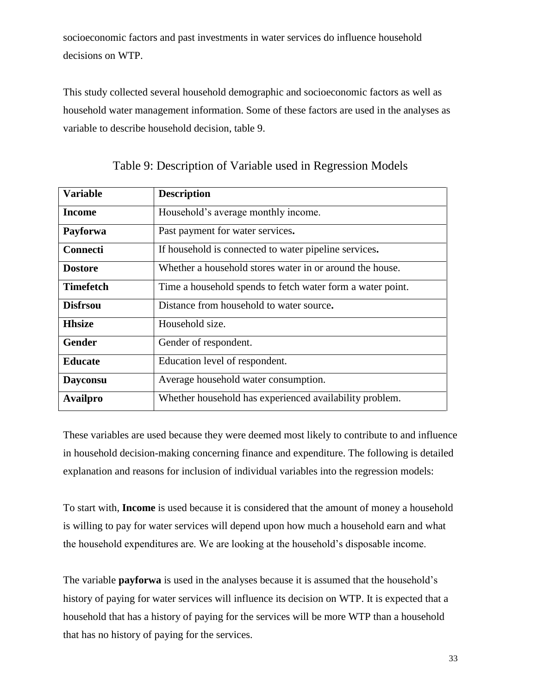socioeconomic factors and past investments in water services do influence household decisions on WTP.

This study collected several household demographic and socioeconomic factors as well as household water management information. Some of these factors are used in the analyses as variable to describe household decision, table 9.

<span id="page-32-0"></span>

| <b>Variable</b>  | <b>Description</b>                                         |
|------------------|------------------------------------------------------------|
| Income           | Household's average monthly income.                        |
| Payforwa         | Past payment for water services.                           |
| <b>Connecti</b>  | If household is connected to water pipeline services.      |
| <b>Dostore</b>   | Whether a household stores water in or around the house.   |
| <b>Timefetch</b> | Time a household spends to fetch water form a water point. |
| <b>Disfrsou</b>  | Distance from household to water source.                   |
| <b>Hhsize</b>    | Household size.                                            |
| <b>Gender</b>    | Gender of respondent.                                      |
| <b>Educate</b>   | Education level of respondent.                             |
| <b>Dayconsu</b>  | Average household water consumption.                       |
| <b>Availpro</b>  | Whether household has experienced availability problem.    |

Table 9: Description of Variable used in Regression Models

These variables are used because they were deemed most likely to contribute to and influence in household decision-making concerning finance and expenditure. The following is detailed explanation and reasons for inclusion of individual variables into the regression models:

To start with, **Income** is used because it is considered that the amount of money a household is willing to pay for water services will depend upon how much a household earn and what the household expenditures are. We are looking at the household's disposable income.

The variable **payforwa** is used in the analyses because it is assumed that the household's history of paying for water services will influence its decision on WTP. It is expected that a household that has a history of paying for the services will be more WTP than a household that has no history of paying for the services.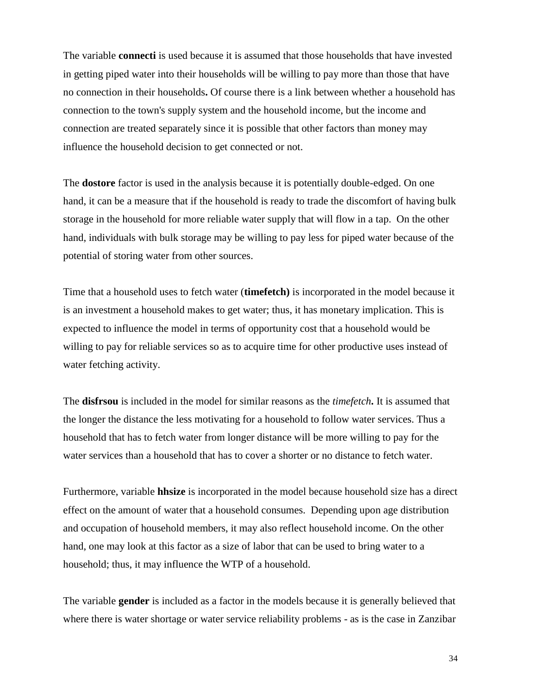The variable **connecti** is used because it is assumed that those households that have invested in getting piped water into their households will be willing to pay more than those that have no connection in their households**.** Of course there is a link between whether a household has connection to the town's supply system and the household income, but the income and connection are treated separately since it is possible that other factors than money may influence the household decision to get connected or not.

The **dostore** factor is used in the analysis because it is potentially double-edged. On one hand, it can be a measure that if the household is ready to trade the discomfort of having bulk storage in the household for more reliable water supply that will flow in a tap. On the other hand, individuals with bulk storage may be willing to pay less for piped water because of the potential of storing water from other sources.

Time that a household uses to fetch water (**timefetch)** is incorporated in the model because it is an investment a household makes to get water; thus, it has monetary implication. This is expected to influence the model in terms of opportunity cost that a household would be willing to pay for reliable services so as to acquire time for other productive uses instead of water fetching activity.

The **disfrsou** is included in the model for similar reasons as the *timefetch***.** It is assumed that the longer the distance the less motivating for a household to follow water services. Thus a household that has to fetch water from longer distance will be more willing to pay for the water services than a household that has to cover a shorter or no distance to fetch water.

Furthermore, variable **hhsize** is incorporated in the model because household size has a direct effect on the amount of water that a household consumes. Depending upon age distribution and occupation of household members, it may also reflect household income. On the other hand, one may look at this factor as a size of labor that can be used to bring water to a household; thus, it may influence the WTP of a household.

The variable **gender** is included as a factor in the models because it is generally believed that where there is water shortage or water service reliability problems - as is the case in Zanzibar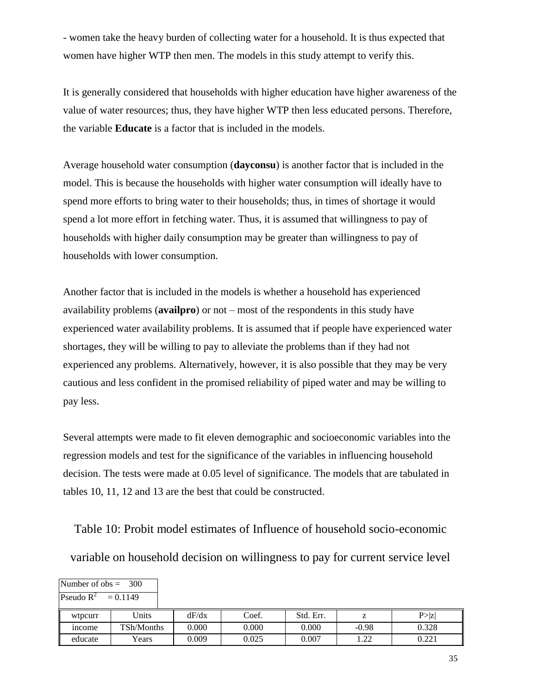- women take the heavy burden of collecting water for a household. It is thus expected that women have higher WTP then men. The models in this study attempt to verify this.

It is generally considered that households with higher education have higher awareness of the value of water resources; thus, they have higher WTP then less educated persons. Therefore, the variable **Educate** is a factor that is included in the models.

Average household water consumption (**dayconsu**) is another factor that is included in the model. This is because the households with higher water consumption will ideally have to spend more efforts to bring water to their households; thus, in times of shortage it would spend a lot more effort in fetching water. Thus, it is assumed that willingness to pay of households with higher daily consumption may be greater than willingness to pay of households with lower consumption.

Another factor that is included in the models is whether a household has experienced availability problems (**availpro**) or not – most of the respondents in this study have experienced water availability problems. It is assumed that if people have experienced water shortages, they will be willing to pay to alleviate the problems than if they had not experienced any problems. Alternatively, however, it is also possible that they may be very cautious and less confident in the promised reliability of piped water and may be willing to pay less.

Several attempts were made to fit eleven demographic and socioeconomic variables into the regression models and test for the significance of the variables in influencing household decision. The tests were made at 0.05 level of significance. The models that are tabulated in tables 10, 11, 12 and 13 are the best that could be constructed.

<span id="page-34-0"></span>Table 10: Probit model estimates of Influence of household socio-economic

variable on household decision on willingness to pay for current service level

| Number of $obs = 300$ |            |       |       |           |         |        |
|-----------------------|------------|-------|-------|-----------|---------|--------|
| Pseudo $R^2$          | $= 0.1149$ |       |       |           |         |        |
| wtpcurr               | Units      | dF/dx | Coef. | Std. Err. |         | P >  z |
| <sub>1</sub> ncome    | TSh/Months | 0.000 | 0.000 | 0.000     | $-0.98$ | 0.328  |
| educate               | Years      | 0.009 | 0.025 | 0.007     | 1.22    | 0.221  |

35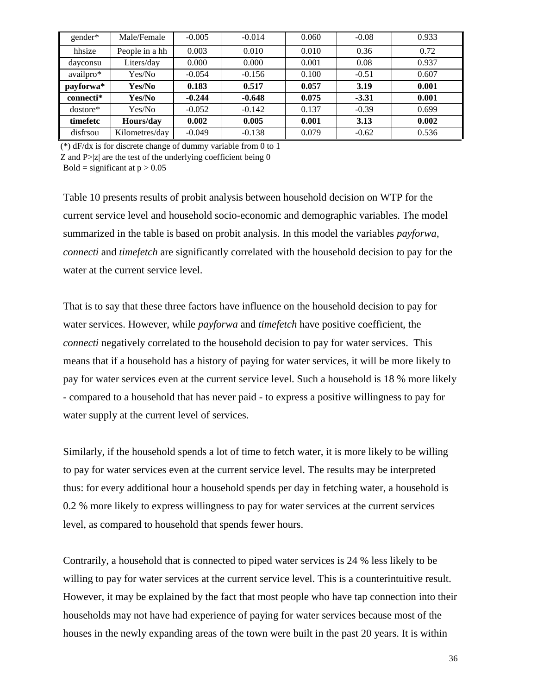| gender*    | Male/Female    | $-0.005$ | $-0.014$ | 0.060 | $-0.08$ | 0.933 |
|------------|----------------|----------|----------|-------|---------|-------|
| hhsize     | People in a hh | 0.003    | 0.010    | 0.010 | 0.36    | 0.72  |
| dayconsu   | Liters/day     | 0.000    | 0.000    | 0.001 | 0.08    | 0.937 |
| availpro*  | Yes/No         | $-0.054$ | $-0.156$ | 0.100 | $-0.51$ | 0.607 |
| payforwa*  | Yes/No         | 0.183    | 0.517    | 0.057 | 3.19    | 0.001 |
| connecti*  | Yes/No         | $-0.244$ | $-0.648$ | 0.075 | $-3.31$ | 0.001 |
| $dostore*$ | Yes/No         | $-0.052$ | $-0.142$ | 0.137 | $-0.39$ | 0.699 |
| timefetc   | Hours/day      | 0.002    | 0.005    | 0.001 | 3.13    | 0.002 |
| disfrsou   | Kilometres/day | $-0.049$ | $-0.138$ | 0.079 | $-0.62$ | 0.536 |

(\*) dF/dx is for discrete change of dummy variable from 0 to 1

Z and  $P > |z|$  are the test of the underlying coefficient being 0

Bold = significant at  $p > 0.05$ 

Table 10 presents results of probit analysis between household decision on WTP for the current service level and household socio-economic and demographic variables. The model summarized in the table is based on probit analysis. In this model the variables *payforwa, connecti* and *timefetch* are significantly correlated with the household decision to pay for the water at the current service level.

That is to say that these three factors have influence on the household decision to pay for water services. However, while *payforwa* and *timefetch* have positive coefficient, the *connecti* negatively correlated to the household decision to pay for water services. This means that if a household has a history of paying for water services, it will be more likely to pay for water services even at the current service level. Such a household is 18 % more likely - compared to a household that has never paid - to express a positive willingness to pay for water supply at the current level of services.

Similarly, if the household spends a lot of time to fetch water, it is more likely to be willing to pay for water services even at the current service level. The results may be interpreted thus: for every additional hour a household spends per day in fetching water, a household is 0.2 % more likely to express willingness to pay for water services at the current services level, as compared to household that spends fewer hours.

Contrarily, a household that is connected to piped water services is 24 % less likely to be willing to pay for water services at the current service level. This is a counterintuitive result. However, it may be explained by the fact that most people who have tap connection into their households may not have had experience of paying for water services because most of the houses in the newly expanding areas of the town were built in the past 20 years. It is within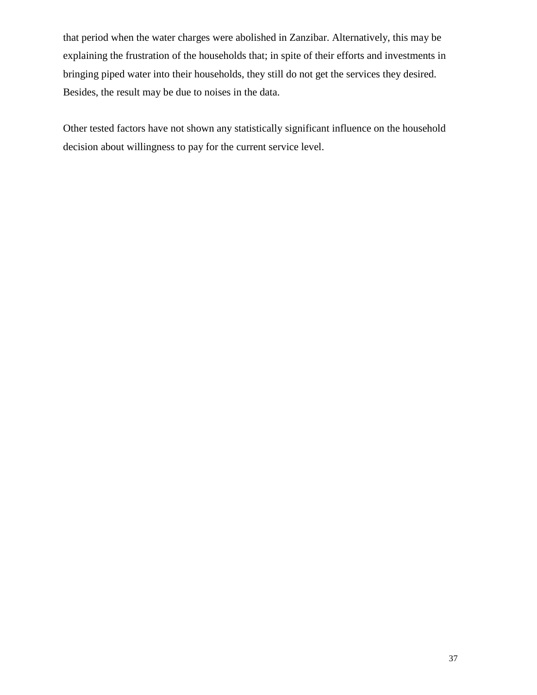that period when the water charges were abolished in Zanzibar. Alternatively, this may be explaining the frustration of the households that; in spite of their efforts and investments in bringing piped water into their households, they still do not get the services they desired. Besides, the result may be due to noises in the data.

Other tested factors have not shown any statistically significant influence on the household decision about willingness to pay for the current service level.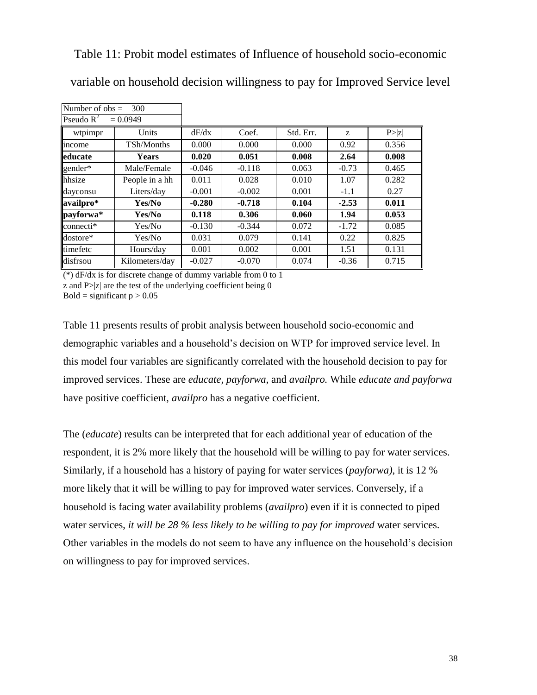<span id="page-37-0"></span>Table 11: Probit model estimates of Influence of household socio-economic

| variable on household decision willingness to pay for Improved Service level |  |  |
|------------------------------------------------------------------------------|--|--|
|------------------------------------------------------------------------------|--|--|

| Number of $obs =$<br>300 |                |          |          |           |         |        |
|--------------------------|----------------|----------|----------|-----------|---------|--------|
| Pseudo $R^2$             | $= 0.0949$     |          |          |           |         |        |
| wtpimpr                  | Units          | dF/dx    | Coef.    | Std. Err. | Z       | P >  z |
| income                   | TSh/Months     | 0.000    | 0.000    | 0.000     | 0.92    | 0.356  |
| educate                  | <b>Years</b>   | 0.020    | 0.051    | 0.008     | 2.64    | 0.008  |
| gender*                  | Male/Female    | $-0.046$ | $-0.118$ | 0.063     | $-0.73$ | 0.465  |
| hhsize                   | People in a hh | 0.011    | 0.028    | 0.010     | 1.07    | 0.282  |
| dayconsu                 | Liters/day     | $-0.001$ | $-0.002$ | 0.001     | $-1.1$  | 0.27   |
| availpro*                | Yes/No         | $-0.280$ | $-0.718$ | 0.104     | $-2.53$ | 0.011  |
| payforwa*                | Yes/No         | 0.118    | 0.306    | 0.060     | 1.94    | 0.053  |
| connecti*                | Yes/No         | $-0.130$ | $-0.344$ | 0.072     | $-1.72$ | 0.085  |
| dostore*                 | Yes/No         | 0.031    | 0.079    | 0.141     | 0.22    | 0.825  |
| timefetc                 | Hours/day      | 0.001    | 0.002    | 0.001     | 1.51    | 0.131  |
| disfrsou                 | Kilometers/day | $-0.027$ | $-0.070$ | 0.074     | $-0.36$ | 0.715  |

(\*) dF/dx is for discrete change of dummy variable from 0 to 1 z and  $P > |z|$  are the test of the underlying coefficient being 0

Bold = significant  $p > 0.05$ 

Table 11 presents results of probit analysis between household socio-economic and demographic variables and a household's decision on WTP for improved service level. In this model four variables are significantly correlated with the household decision to pay for improved services. These are *educate, payforwa*, and *availpro.* While *educate and payforwa*  have positive coefficient, *availpro* has a negative coefficient.

The (*educate*) results can be interpreted that for each additional year of education of the respondent, it is 2% more likely that the household will be willing to pay for water services. Similarly, if a household has a history of paying for water services (*payforwa)*, it is 12 % more likely that it will be willing to pay for improved water services. Conversely, if a household is facing water availability problems (*availpro*) even if it is connected to piped water services, *it will be 28 % less likely to be willing to pay for improved* water services. Other variables in the models do not seem to have any influence on the household's decision on willingness to pay for improved services.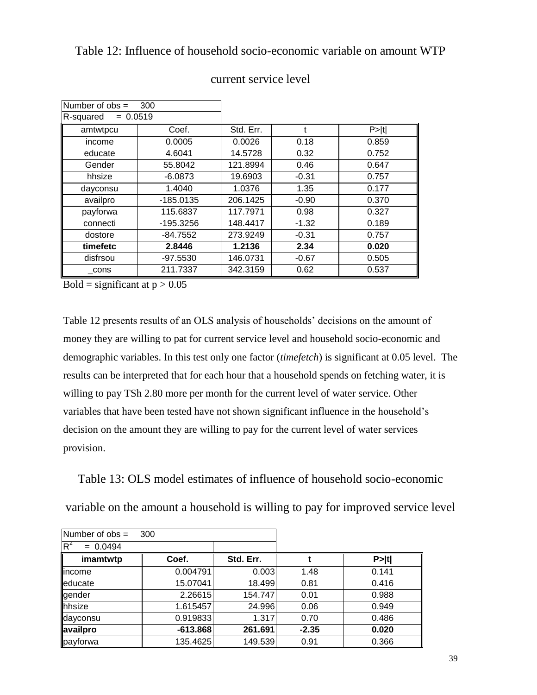### <span id="page-38-0"></span>Table 12: Influence of household socio-economic variable on amount WTP

| Number of $obs =$       | 300         |           |         |       |
|-------------------------|-------------|-----------|---------|-------|
| $= 0.0519$<br>R-squared |             |           |         |       |
| amtwtpcu                | Coef.       | Std. Err. |         | P> t  |
| income                  | 0.0005      | 0.0026    | 0.18    | 0.859 |
| educate                 | 4.6041      | 14.5728   | 0.32    | 0.752 |
| Gender                  | 55.8042     | 121.8994  | 0.46    | 0.647 |
| hhsize                  | $-6.0873$   | 19.6903   | $-0.31$ | 0.757 |
| dayconsu                | 1.4040      | 1.0376    | 1.35    | 0.177 |
| availpro                | $-185.0135$ | 206.1425  | $-0.90$ | 0.370 |
| payforwa                | 115.6837    | 117.7971  | 0.98    | 0.327 |
| connecti                | $-195.3256$ | 148.4417  | $-1.32$ | 0.189 |
| dostore                 | $-84.7552$  | 273.9249  | $-0.31$ | 0.757 |
| timefetc                | 2.8446      | 1.2136    | 2.34    | 0.020 |
| disfrsou                | $-97.5530$  | 146.0731  | $-0.67$ | 0.505 |
| cons                    | 211.7337    | 342.3159  | 0.62    | 0.537 |

#### current service level

Bold = significant at  $p > 0.05$ 

Table 12 presents results of an OLS analysis of households' decisions on the amount of money they are willing to pat for current service level and household socio-economic and demographic variables. In this test only one factor (*timefetch*) is significant at 0.05 level. The results can be interpreted that for each hour that a household spends on fetching water, it is willing to pay TSh 2.80 more per month for the current level of water service. Other variables that have been tested have not shown significant influence in the household's decision on the amount they are willing to pay for the current level of water services provision.

<span id="page-38-1"></span>Table 13: OLS model estimates of influence of household socio-economic

variable on the amount a household is willing to pay for improved service level

| Number of $obs =$   | 300        |           |         |       |
|---------------------|------------|-----------|---------|-------|
| $R^2$<br>$= 0.0494$ |            |           |         |       |
| imamtwtp            | Coef.      | Std. Err. |         | P> t  |
| lincome             | 0.004791   | 0.003     | 1.48    | 0.141 |
| educate             | 15.07041   | 18.499    | 0.81    | 0.416 |
| gender              | 2.26615    | 154.747   | 0.01    | 0.988 |
| hhsize              | 1.615457   | 24.996    | 0.06    | 0.949 |
| dayconsu            | 0.919833   | 1.317     | 0.70    | 0.486 |
| availpro            | $-613.868$ | 261.691   | $-2.35$ | 0.020 |
| payforwa            | 135.4625   | 149.539   | 0.91    | 0.366 |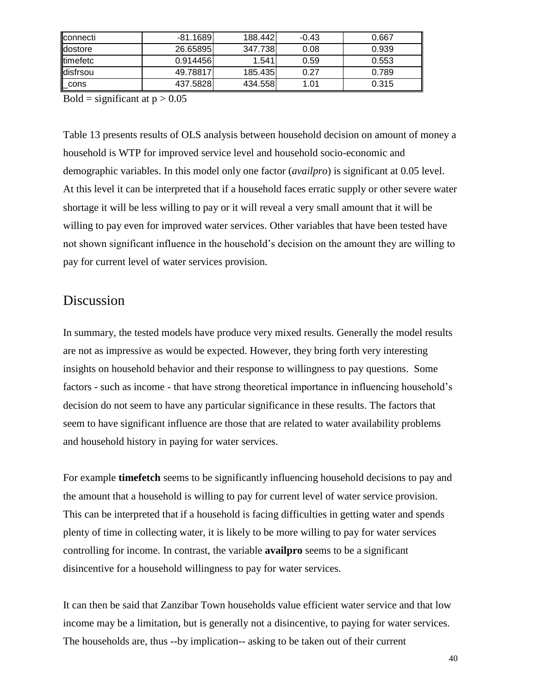| llconnecti       | $-81.1689$ | 188.442 | $-0.43$ | 0.667 |
|------------------|------------|---------|---------|-------|
| <b>dostore</b>   | 26.65895   | 347.738 | 0.08    | 0.939 |
| <b>ltimefetc</b> | 0.914456   | 1.541   | 0.59    | 0.553 |
| ldisfrsou        | 49.78817   | 185.435 | 0.27    | 0.789 |
| $\_cons$         | 437.5828   | 434.558 | 1.01    | 0.315 |

Bold = significant at  $p > 0.05$ 

Table 13 presents results of OLS analysis between household decision on amount of money a household is WTP for improved service level and household socio-economic and demographic variables. In this model only one factor (*availpro*) is significant at 0.05 level. At this level it can be interpreted that if a household faces erratic supply or other severe water shortage it will be less willing to pay or it will reveal a very small amount that it will be willing to pay even for improved water services. Other variables that have been tested have not shown significant influence in the household's decision on the amount they are willing to pay for current level of water services provision.

### Discussion

In summary, the tested models have produce very mixed results. Generally the model results are not as impressive as would be expected. However, they bring forth very interesting insights on household behavior and their response to willingness to pay questions. Some factors - such as income - that have strong theoretical importance in influencing household's decision do not seem to have any particular significance in these results. The factors that seem to have significant influence are those that are related to water availability problems and household history in paying for water services.

For example **timefetch** seems to be significantly influencing household decisions to pay and the amount that a household is willing to pay for current level of water service provision. This can be interpreted that if a household is facing difficulties in getting water and spends plenty of time in collecting water, it is likely to be more willing to pay for water services controlling for income. In contrast, the variable **availpro** seems to be a significant disincentive for a household willingness to pay for water services.

It can then be said that Zanzibar Town households value efficient water service and that low income may be a limitation, but is generally not a disincentive, to paying for water services. The households are, thus --by implication-- asking to be taken out of their current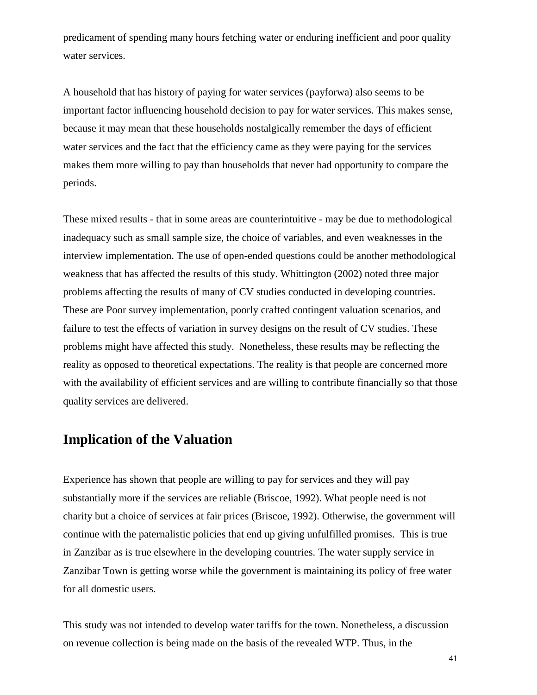predicament of spending many hours fetching water or enduring inefficient and poor quality water services.

A household that has history of paying for water services (payforwa) also seems to be important factor influencing household decision to pay for water services. This makes sense, because it may mean that these households nostalgically remember the days of efficient water services and the fact that the efficiency came as they were paying for the services makes them more willing to pay than households that never had opportunity to compare the periods.

These mixed results - that in some areas are counterintuitive - may be due to methodological inadequacy such as small sample size, the choice of variables, and even weaknesses in the interview implementation. The use of open-ended questions could be another methodological weakness that has affected the results of this study. Whittington (2002) noted three major problems affecting the results of many of CV studies conducted in developing countries. These are Poor survey implementation, poorly crafted contingent valuation scenarios, and failure to test the effects of variation in survey designs on the result of CV studies. These problems might have affected this study. Nonetheless, these results may be reflecting the reality as opposed to theoretical expectations. The reality is that people are concerned more with the availability of efficient services and are willing to contribute financially so that those quality services are delivered.

## **Implication of the Valuation**

Experience has shown that people are willing to pay for services and they will pay substantially more if the services are reliable (Briscoe, 1992). What people need is not charity but a choice of services at fair prices (Briscoe, 1992). Otherwise, the government will continue with the paternalistic policies that end up giving unfulfilled promises. This is true in Zanzibar as is true elsewhere in the developing countries. The water supply service in Zanzibar Town is getting worse while the government is maintaining its policy of free water for all domestic users.

This study was not intended to develop water tariffs for the town. Nonetheless, a discussion on revenue collection is being made on the basis of the revealed WTP. Thus, in the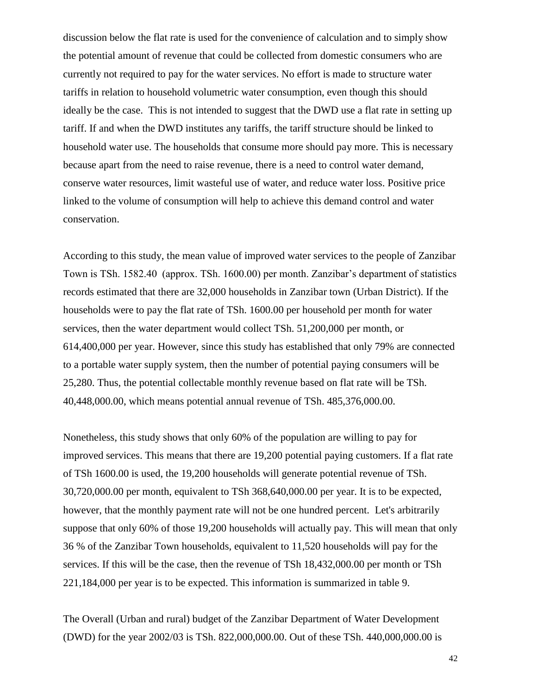discussion below the flat rate is used for the convenience of calculation and to simply show the potential amount of revenue that could be collected from domestic consumers who are currently not required to pay for the water services. No effort is made to structure water tariffs in relation to household volumetric water consumption, even though this should ideally be the case. This is not intended to suggest that the DWD use a flat rate in setting up tariff. If and when the DWD institutes any tariffs, the tariff structure should be linked to household water use. The households that consume more should pay more. This is necessary because apart from the need to raise revenue, there is a need to control water demand, conserve water resources, limit wasteful use of water, and reduce water loss. Positive price linked to the volume of consumption will help to achieve this demand control and water conservation.

According to this study, the mean value of improved water services to the people of Zanzibar Town is TSh. 1582.40 (approx. TSh. 1600.00) per month. Zanzibar's department of statistics records estimated that there are 32,000 households in Zanzibar town (Urban District). If the households were to pay the flat rate of TSh. 1600.00 per household per month for water services, then the water department would collect TSh. 51,200,000 per month, or 614,400,000 per year. However, since this study has established that only 79% are connected to a portable water supply system, then the number of potential paying consumers will be 25,280. Thus, the potential collectable monthly revenue based on flat rate will be TSh. 40,448,000.00, which means potential annual revenue of TSh. 485,376,000.00.

Nonetheless, this study shows that only 60% of the population are willing to pay for improved services. This means that there are 19,200 potential paying customers. If a flat rate of TSh 1600.00 is used, the 19,200 households will generate potential revenue of TSh. 30,720,000.00 per month, equivalent to TSh 368,640,000.00 per year. It is to be expected, however, that the monthly payment rate will not be one hundred percent. Let's arbitrarily suppose that only 60% of those 19,200 households will actually pay. This will mean that only 36 % of the Zanzibar Town households, equivalent to 11,520 households will pay for the services. If this will be the case, then the revenue of TSh 18,432,000.00 per month or TSh 221,184,000 per year is to be expected. This information is summarized in table 9.

The Overall (Urban and rural) budget of the Zanzibar Department of Water Development (DWD) for the year 2002/03 is TSh. 822,000,000.00. Out of these TSh. 440,000,000.00 is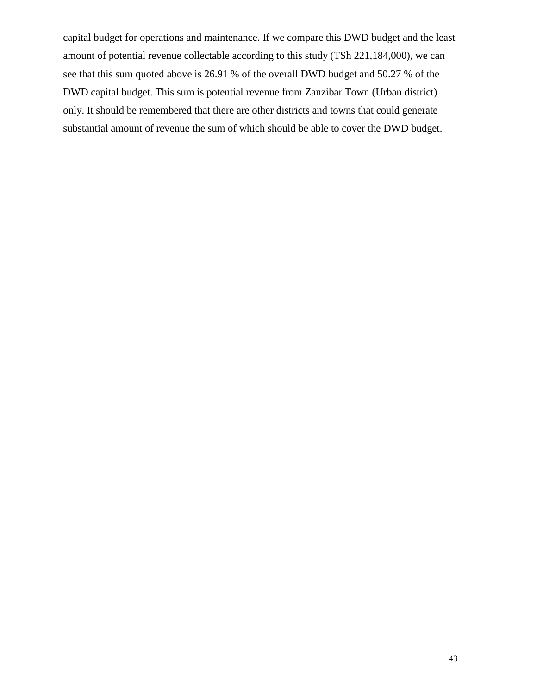capital budget for operations and maintenance. If we compare this DWD budget and the least amount of potential revenue collectable according to this study (TSh 221,184,000), we can see that this sum quoted above is 26.91 % of the overall DWD budget and 50.27 % of the DWD capital budget. This sum is potential revenue from Zanzibar Town (Urban district) only. It should be remembered that there are other districts and towns that could generate substantial amount of revenue the sum of which should be able to cover the DWD budget.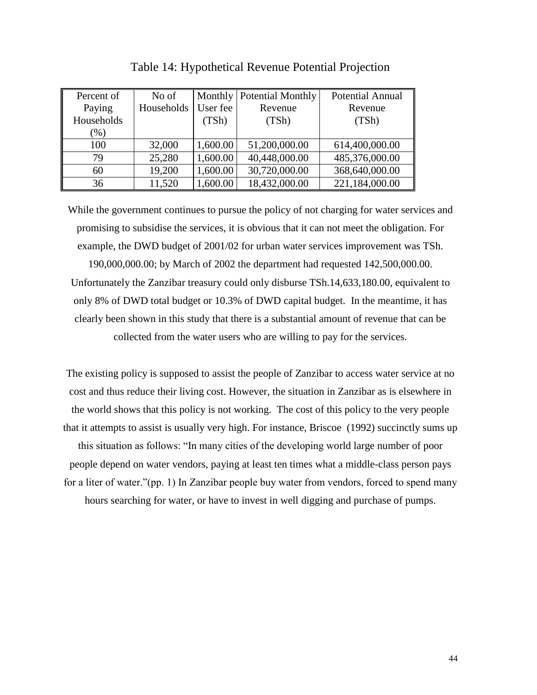<span id="page-43-0"></span>

| Percent of | No of      |          | Monthly   Potential Monthly | <b>Potential Annual</b> |
|------------|------------|----------|-----------------------------|-------------------------|
| Paying     | Households | User fee | Revenue                     | Revenue                 |
| Households |            | (TSh)    | (TSh)                       | (TSh)                   |
| $(\%)$     |            |          |                             |                         |
| 100        | 32,000     | 1,600.00 | 51,200,000.00               | 614,400,000.00          |
| 79         | 25,280     | 1,600.00 | 40,448,000.00               | 485,376,000.00          |
| 60         | 19,200     | 1,600.00 | 30,720,000.00               | 368,640,000.00          |
| 36         | 11,520     | 1,600.00 | 18,432,000.00               | 221,184,000.00          |

Table 14: Hypothetical Revenue Potential Projection

While the government continues to pursue the policy of not charging for water services and promising to subsidise the services, it is obvious that it can not meet the obligation. For example, the DWD budget of 2001/02 for urban water services improvement was TSh. 190,000,000.00; by March of 2002 the department had requested 142,500,000.00. Unfortunately the Zanzibar treasury could only disburse TSh.14,633,180.00, equivalent to only 8% of DWD total budget or 10.3% of DWD capital budget. In the meantime, it has clearly been shown in this study that there is a substantial amount of revenue that can be collected from the water users who are willing to pay for the services.

The existing policy is supposed to assist the people of Zanzibar to access water service at no cost and thus reduce their living cost. However, the situation in Zanzibar as is elsewhere in the world shows that this policy is not working. The cost of this policy to the very people that it attempts to assist is usually very high. For instance, Briscoe (1992) succinctly sums up this situation as follows: "In many cities of the developing world large number of poor people depend on water vendors, paying at least ten times what a middle-class person pays for a liter of water."(pp. 1) In Zanzibar people buy water from vendors, forced to spend many hours searching for water, or have to invest in well digging and purchase of pumps.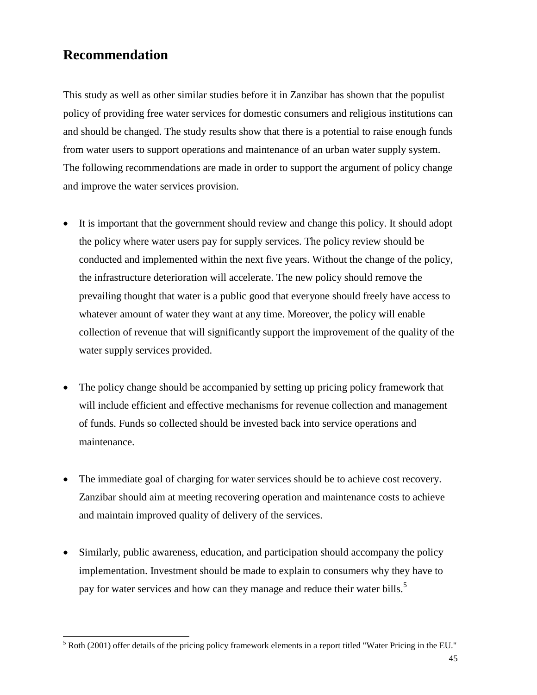# **Recommendation**

 $\overline{a}$ 

This study as well as other similar studies before it in Zanzibar has shown that the populist policy of providing free water services for domestic consumers and religious institutions can and should be changed. The study results show that there is a potential to raise enough funds from water users to support operations and maintenance of an urban water supply system. The following recommendations are made in order to support the argument of policy change and improve the water services provision.

- It is important that the government should review and change this policy. It should adopt the policy where water users pay for supply services. The policy review should be conducted and implemented within the next five years. Without the change of the policy, the infrastructure deterioration will accelerate. The new policy should remove the prevailing thought that water is a public good that everyone should freely have access to whatever amount of water they want at any time. Moreover, the policy will enable collection of revenue that will significantly support the improvement of the quality of the water supply services provided.
- The policy change should be accompanied by setting up pricing policy framework that will include efficient and effective mechanisms for revenue collection and management of funds. Funds so collected should be invested back into service operations and maintenance.
- The immediate goal of charging for water services should be to achieve cost recovery. Zanzibar should aim at meeting recovering operation and maintenance costs to achieve and maintain improved quality of delivery of the services.
- Similarly, public awareness, education, and participation should accompany the policy implementation. Investment should be made to explain to consumers why they have to pay for water services and how can they manage and reduce their water bills.<sup>5</sup>

<sup>5</sup> Roth (2001) offer details of the pricing policy framework elements in a report titled "Water Pricing in the EU."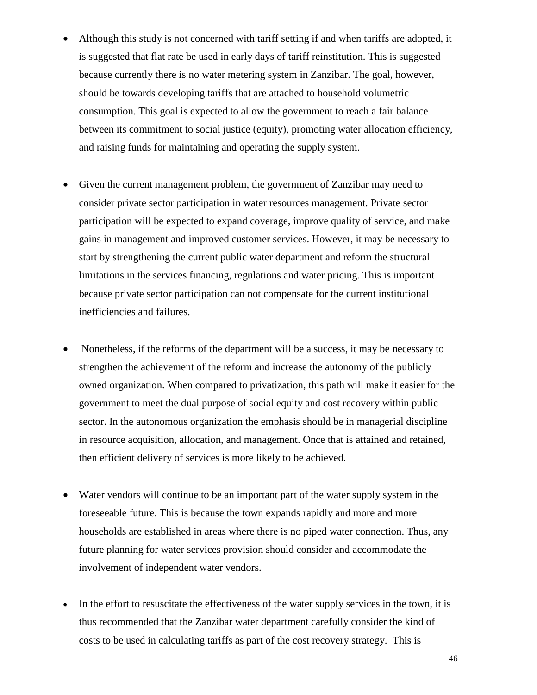- Although this study is not concerned with tariff setting if and when tariffs are adopted, it is suggested that flat rate be used in early days of tariff reinstitution. This is suggested because currently there is no water metering system in Zanzibar. The goal, however, should be towards developing tariffs that are attached to household volumetric consumption. This goal is expected to allow the government to reach a fair balance between its commitment to social justice (equity), promoting water allocation efficiency, and raising funds for maintaining and operating the supply system.
- Given the current management problem, the government of Zanzibar may need to consider private sector participation in water resources management. Private sector participation will be expected to expand coverage, improve quality of service, and make gains in management and improved customer services. However, it may be necessary to start by strengthening the current public water department and reform the structural limitations in the services financing, regulations and water pricing. This is important because private sector participation can not compensate for the current institutional inefficiencies and failures.
- Nonetheless, if the reforms of the department will be a success, it may be necessary to strengthen the achievement of the reform and increase the autonomy of the publicly owned organization. When compared to privatization, this path will make it easier for the government to meet the dual purpose of social equity and cost recovery within public sector. In the autonomous organization the emphasis should be in managerial discipline in resource acquisition, allocation, and management. Once that is attained and retained, then efficient delivery of services is more likely to be achieved.
- Water vendors will continue to be an important part of the water supply system in the foreseeable future. This is because the town expands rapidly and more and more households are established in areas where there is no piped water connection. Thus, any future planning for water services provision should consider and accommodate the involvement of independent water vendors.
- In the effort to resuscitate the effectiveness of the water supply services in the town, it is thus recommended that the Zanzibar water department carefully consider the kind of costs to be used in calculating tariffs as part of the cost recovery strategy. This is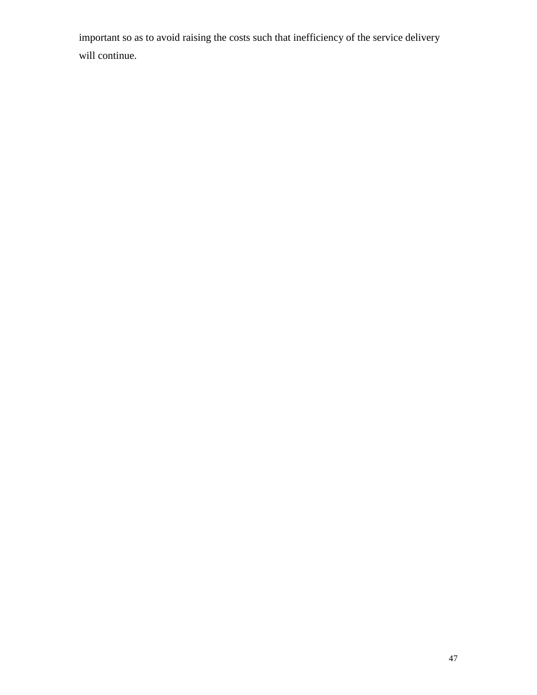important so as to avoid raising the costs such that inefficiency of the service delivery will continue.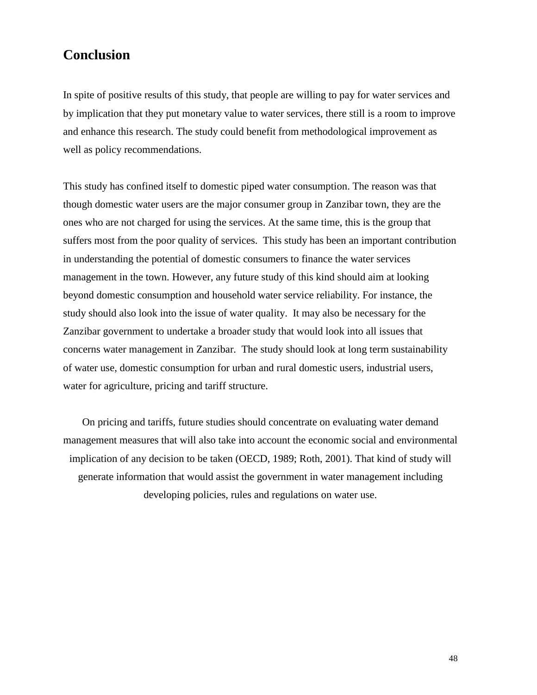# **Conclusion**

In spite of positive results of this study, that people are willing to pay for water services and by implication that they put monetary value to water services, there still is a room to improve and enhance this research. The study could benefit from methodological improvement as well as policy recommendations.

This study has confined itself to domestic piped water consumption. The reason was that though domestic water users are the major consumer group in Zanzibar town, they are the ones who are not charged for using the services. At the same time, this is the group that suffers most from the poor quality of services. This study has been an important contribution in understanding the potential of domestic consumers to finance the water services management in the town. However, any future study of this kind should aim at looking beyond domestic consumption and household water service reliability. For instance, the study should also look into the issue of water quality. It may also be necessary for the Zanzibar government to undertake a broader study that would look into all issues that concerns water management in Zanzibar. The study should look at long term sustainability of water use, domestic consumption for urban and rural domestic users, industrial users, water for agriculture, pricing and tariff structure.

On pricing and tariffs, future studies should concentrate on evaluating water demand management measures that will also take into account the economic social and environmental implication of any decision to be taken (OECD, 1989; Roth, 2001). That kind of study will generate information that would assist the government in water management including developing policies, rules and regulations on water use.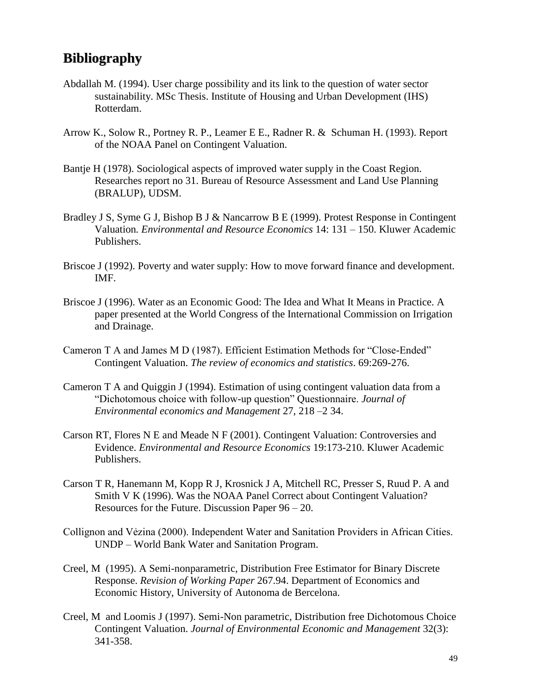# **Bibliography**

- Abdallah M. (1994). User charge possibility and its link to the question of water sector sustainability. MSc Thesis. Institute of Housing and Urban Development (IHS) Rotterdam.
- Arrow K., Solow R., Portney R. P., Leamer E E., Radner R. & Schuman H. (1993). Report of the NOAA Panel on Contingent Valuation.
- Bantje H (1978). Sociological aspects of improved water supply in the Coast Region. Researches report no 31. Bureau of Resource Assessment and Land Use Planning (BRALUP), UDSM.
- Bradley J S, Syme G J, Bishop B J & Nancarrow B E (1999). Protest Response in Contingent Valuation*. Environmental and Resource Economics* 14: 131 – 150. Kluwer Academic Publishers.
- Briscoe J (1992). Poverty and water supply: How to move forward finance and development. IMF.
- Briscoe J (1996). Water as an Economic Good: The Idea and What It Means in Practice. A paper presented at the World Congress of the International Commission on Irrigation and Drainage.
- Cameron T A and James M D (1987). Efficient Estimation Methods for "Close-Ended" Contingent Valuation. *The review of economics and statistics*. 69:269-276.
- Cameron T A and Quiggin J (1994). Estimation of using contingent valuation data from a "Dichotomous choice with follow-up question" Questionnaire. *Journal of Environmental economics and Management* 27, 218 –2 34.
- Carson RT, Flores N E and Meade N F (2001). Contingent Valuation: Controversies and Evidence. *Environmental and Resource Economics* 19:173-210. Kluwer Academic Publishers.
- Carson T R, Hanemann M, Kopp R J, Krosnick J A, Mitchell RC, Presser S, Ruud P. A and Smith V K (1996). Was the NOAA Panel Correct about Contingent Valuation? Resources for the Future. Discussion Paper 96 – 20.
- Collignon and Vẻzina (2000). Independent Water and Sanitation Providers in African Cities. UNDP – World Bank Water and Sanitation Program.
- Creel, M (1995). A Semi-nonparametric, Distribution Free Estimator for Binary Discrete Response. *Revision of Working Paper* 267.94. Department of Economics and Economic History, University of Autonoma de Bercelona.
- Creel, M and Loomis J (1997). Semi-Non parametric, Distribution free Dichotomous Choice Contingent Valuation. *Journal of Environmental Economic and Management* 32(3): 341-358.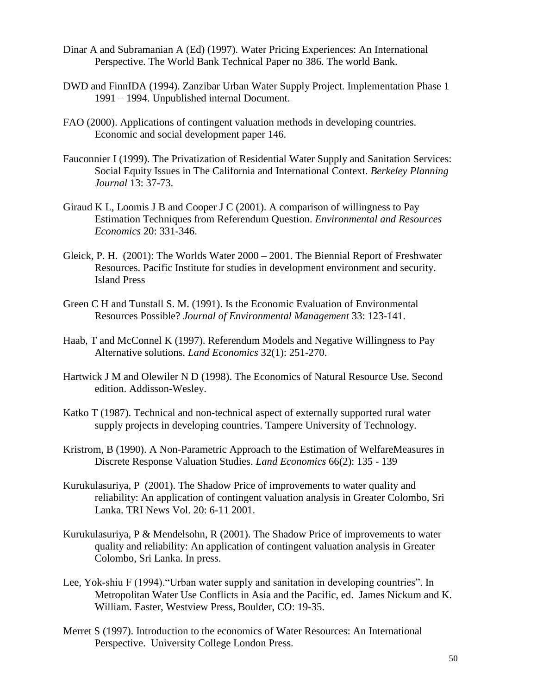- Dinar A and Subramanian A (Ed) (1997). Water Pricing Experiences: An International Perspective. The World Bank Technical Paper no 386. The world Bank.
- DWD and FinnIDA (1994). Zanzibar Urban Water Supply Project. Implementation Phase 1 1991 – 1994. Unpublished internal Document.
- FAO (2000). Applications of contingent valuation methods in developing countries. Economic and social development paper 146.
- Fauconnier I (1999). The Privatization of Residential Water Supply and Sanitation Services: Social Equity Issues in The California and International Context. *Berkeley Planning Journal* 13: 37-73.
- Giraud K L, Loomis J B and Cooper J C (2001). A comparison of willingness to Pay Estimation Techniques from Referendum Question. *Environmental and Resources Economics* 20: 331-346.
- Gleick, P. H. (2001): The Worlds Water 2000 2001. The Biennial Report of Freshwater Resources. Pacific Institute for studies in development environment and security. Island Press
- Green C H and Tunstall S. M. (1991). Is the Economic Evaluation of Environmental Resources Possible? *Journal of Environmental Management* 33: 123-141.
- Haab, T and McConnel K (1997). Referendum Models and Negative Willingness to Pay Alternative solutions. *Land Economics* 32(1): 251-270.
- Hartwick J M and Olewiler N D (1998). The Economics of Natural Resource Use. Second edition. Addisson-Wesley.
- Katko T (1987). Technical and non-technical aspect of externally supported rural water supply projects in developing countries. Tampere University of Technology.
- Kristrom, B (1990). A Non-Parametric Approach to the Estimation of WelfareMeasures in Discrete Response Valuation Studies. *Land Economics* 66(2): 135 - 139
- Kurukulasuriya, P (2001). The Shadow Price of improvements to water quality and reliability: An application of contingent valuation analysis in Greater Colombo, Sri Lanka. TRI News Vol. 20: 6-11 2001.
- Kurukulasuriya, P & Mendelsohn, R (2001). The Shadow Price of improvements to water quality and reliability: An application of contingent valuation analysis in Greater Colombo, Sri Lanka. In press.
- Lee, Yok-shiu F (1994)."Urban water supply and sanitation in developing countries". In Metropolitan Water Use Conflicts in Asia and the Pacific, ed. James Nickum and K. William. Easter, Westview Press, Boulder, CO: 19-35.
- Merret S (1997). Introduction to the economics of Water Resources: An International Perspective. University College London Press.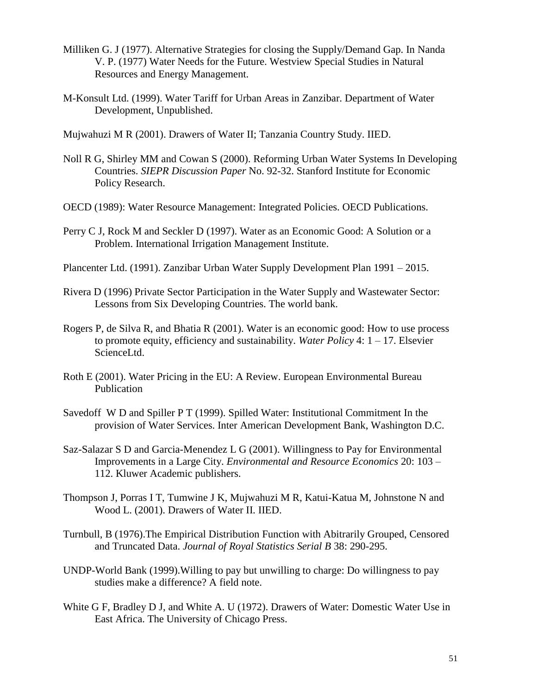- Milliken G. J (1977). Alternative Strategies for closing the Supply/Demand Gap. In Nanda V. P. (1977) Water Needs for the Future. Westview Special Studies in Natural Resources and Energy Management.
- M-Konsult Ltd. (1999). Water Tariff for Urban Areas in Zanzibar. Department of Water Development, Unpublished.
- Mujwahuzi M R (2001). Drawers of Water II; Tanzania Country Study. IIED.
- Noll R G, Shirley MM and Cowan S (2000). Reforming Urban Water Systems In Developing Countries. *SIEPR Discussion Paper* No. 92-32. Stanford Institute for Economic Policy Research.
- OECD (1989): Water Resource Management: Integrated Policies. OECD Publications.
- Perry C J, Rock M and Seckler D (1997). Water as an Economic Good: A Solution or a Problem. International Irrigation Management Institute.
- Plancenter Ltd. (1991). Zanzibar Urban Water Supply Development Plan 1991 2015.
- Rivera D (1996) Private Sector Participation in the Water Supply and Wastewater Sector: Lessons from Six Developing Countries. The world bank.
- Rogers P, de Silva R, and Bhatia R (2001). Water is an economic good: How to use process to promote equity, efficiency and sustainability. *Water Policy* 4: 1 – 17. Elsevier ScienceLtd.
- Roth E (2001). Water Pricing in the EU: A Review. European Environmental Bureau Publication
- Savedoff W D and Spiller P T (1999). Spilled Water: Institutional Commitment In the provision of Water Services. Inter American Development Bank, Washington D.C.
- Saz-Salazar S D and Garcia-Menendez L G (2001). Willingness to Pay for Environmental Improvements in a Large City. *Environmental and Resource Economics* 20: 103 – 112. Kluwer Academic publishers.
- Thompson J, Porras I T, Tumwine J K, Mujwahuzi M R, Katui-Katua M, Johnstone N and Wood L. (2001). Drawers of Water II. IIED.
- Turnbull, B (1976).The Empirical Distribution Function with Abitrarily Grouped, Censored and Truncated Data. *Journal of Royal Statistics Serial B* 38: 290-295.
- UNDP-World Bank (1999).Willing to pay but unwilling to charge: Do willingness to pay studies make a difference? A field note.
- White G F, Bradley D J, and White A. U (1972). Drawers of Water: Domestic Water Use in East Africa. The University of Chicago Press.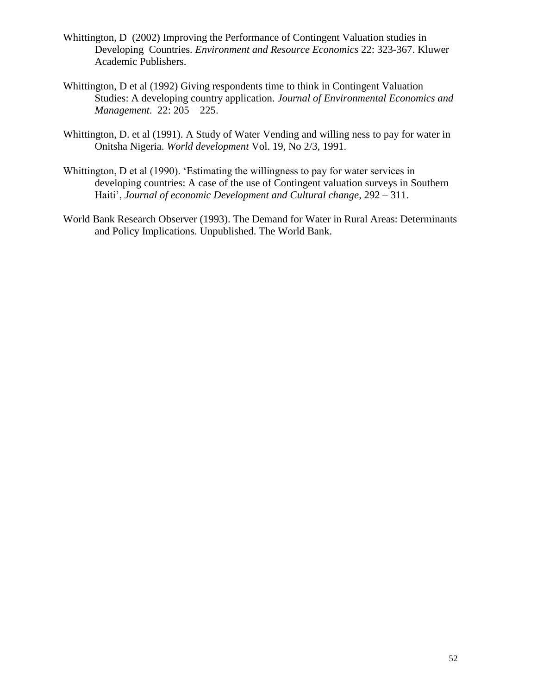- Whittington, D (2002) Improving the Performance of Contingent Valuation studies in Developing Countries. *Environment and Resource Economics* 22: 323-367. Kluwer Academic Publishers.
- Whittington, D et al (1992) Giving respondents time to think in Contingent Valuation Studies: A developing country application. *Journal of Environmental Economics and Management*. 22: 205 – 225.
- Whittington, D. et al (1991). A Study of Water Vending and willing ness to pay for water in Onitsha Nigeria. *World development* Vol. 19, No 2/3, 1991.
- Whittington, D et al (1990). 'Estimating the willingness to pay for water services in developing countries: A case of the use of Contingent valuation surveys in Southern Haiti', *Journal of economic Development and Cultural change*, 292 – 311.
- World Bank Research Observer (1993). The Demand for Water in Rural Areas: Determinants and Policy Implications. Unpublished. The World Bank.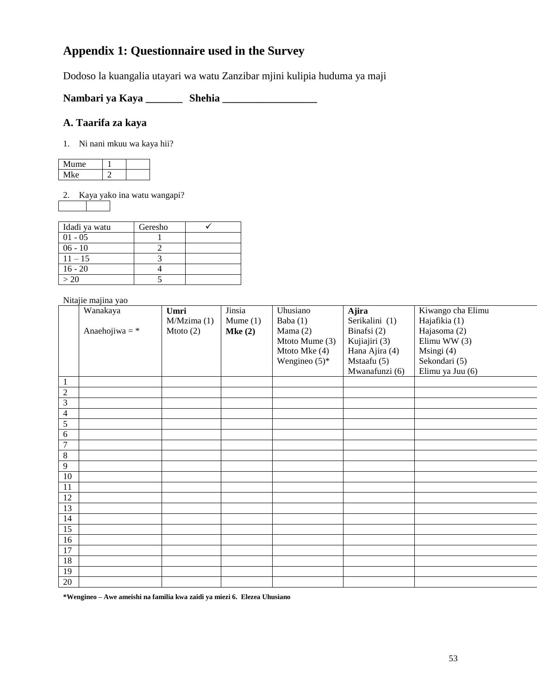# **Appendix 1: Questionnaire used in the Survey**

Dodoso la kuangalia utayari wa watu Zanzibar mjini kulipia huduma ya maji

**Nambari ya Kaya \_\_\_\_\_\_\_ Shehia \_\_\_\_\_\_\_\_\_\_\_\_\_\_\_\_\_\_** 

#### **A. Taarifa za kaya**

1. Ni nani mkuu wa kaya hii?

| Mume |  |
|------|--|
| ke.  |  |

2. Kaya yako ina watu wangapi?

| Idadi ya watu | Geresho |  |
|---------------|---------|--|
| $01 - 05$     |         |  |
| $06 - 10$     |         |  |
| $11 - 15$     |         |  |
| $16 - 20$     |         |  |
| >20           |         |  |

Nitajie majina yao

|                          | Wanakaya         | Umri        | Jinsia        | Uhusiano         | Ajira          | Kiwango cha Elimu |
|--------------------------|------------------|-------------|---------------|------------------|----------------|-------------------|
|                          |                  | M/Mzima(1)  | $M$ ume $(1)$ | Baba (1)         | Serikalini (1) | Hajafikia (1)     |
|                          | Anaehojiwa = $*$ | Mtoto $(2)$ | Mke(2)        | Mama $(2)$       | Binafsi (2)    | Hajasoma (2)      |
|                          |                  |             |               | Mtoto Mume (3)   | Kujiajiri (3)  | Elimu WW $(3)$    |
|                          |                  |             |               | Mtoto Mke (4)    | Hana Ajira (4) | Msingi (4)        |
|                          |                  |             |               | Wengineo $(5)^*$ | Mstaafu (5)    | Sekondari (5)     |
|                          |                  |             |               |                  | Mwanafunzi (6) | Elimu ya Juu (6)  |
| $\mathbf{1}$             |                  |             |               |                  |                |                   |
| $\overline{2}$           |                  |             |               |                  |                |                   |
| $\overline{3}$           |                  |             |               |                  |                |                   |
| $\overline{\mathcal{A}}$ |                  |             |               |                  |                |                   |
| $\overline{5}$           |                  |             |               |                  |                |                   |
| $6\,$                    |                  |             |               |                  |                |                   |
| $\overline{7}$           |                  |             |               |                  |                |                   |
| $\overline{8}$           |                  |             |               |                  |                |                   |
| 9                        |                  |             |               |                  |                |                   |
| 10                       |                  |             |               |                  |                |                   |
| 11                       |                  |             |               |                  |                |                   |
| $\overline{12}$          |                  |             |               |                  |                |                   |
| $\overline{13}$          |                  |             |               |                  |                |                   |
| 14                       |                  |             |               |                  |                |                   |
| 15                       |                  |             |               |                  |                |                   |
| 16                       |                  |             |               |                  |                |                   |
| 17                       |                  |             |               |                  |                |                   |
| 18                       |                  |             |               |                  |                |                   |
| 19                       |                  |             |               |                  |                |                   |
| 20                       |                  |             |               |                  |                |                   |
|                          |                  |             |               |                  |                |                   |

**\*Wengineo – Awe ameishi na familia kwa zaidi ya miezi 6. Elezea Uhusiano**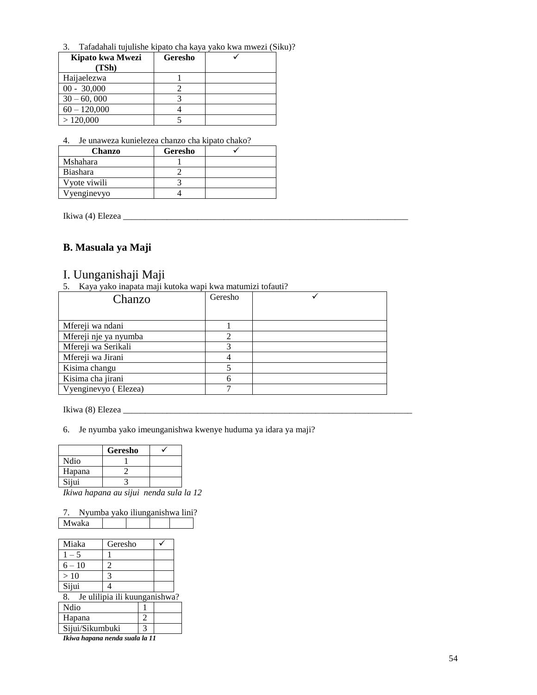3. Tafadahali tujulishe kipato cha kaya yako kwa mwezi (Siku)?

| Kipato kwa Mwezi | Geresho |  |
|------------------|---------|--|
| (TSh)            |         |  |
| Haijaelezwa      |         |  |
| $00 - 30,000$    |         |  |
| $30 - 60,000$    |         |  |
| $60 - 120,000$   |         |  |
| >120,000         |         |  |

4. Je unaweza kunielezea chanzo cha kipato chako?

| <b>Chanzo</b>   | Geresho |  |
|-----------------|---------|--|
| Mshahara        |         |  |
| <b>Biashara</b> |         |  |
| Vyote viwili    |         |  |
| Vyenginevyo     |         |  |

Ikiwa (4) Elezea \_\_\_\_\_\_\_\_\_\_\_\_\_\_\_\_\_\_\_\_\_\_\_\_\_\_\_\_\_\_\_\_\_\_\_\_\_\_\_\_\_\_\_\_\_\_\_\_\_\_\_\_\_\_\_\_\_\_\_\_\_\_\_\_\_

#### **B. Masuala ya Maji**

#### I. Uunganishaji Maji

5. Kaya yako inapata maji kutoka wapi kwa matumizi tofauti?

| Chanzo                | Geresho |  |
|-----------------------|---------|--|
|                       |         |  |
| Mfereji wa ndani      |         |  |
| Mfereji nje ya nyumba |         |  |
| Mfereji wa Serikali   |         |  |
| Mfereji wa Jirani     |         |  |
| Kisima changu         |         |  |
| Kisima cha jirani     |         |  |
| Vyenginevyo (Elezea)  |         |  |

Ikiwa (8) Elezea \_\_\_\_\_\_\_\_\_\_\_\_\_\_\_\_\_\_\_\_\_\_\_\_\_\_\_\_\_\_\_\_\_\_\_\_\_\_\_\_\_\_\_\_\_\_\_\_\_\_\_\_\_\_\_\_\_\_\_\_\_\_\_\_\_\_

6. Je nyumba yako imeunganishwa kwenye huduma ya idara ya maji?

|        | Geresho |  |
|--------|---------|--|
| Ndio   |         |  |
| Hapana |         |  |
| Sijui  |         |  |

*Ikiwa hapana au sijui nenda sula la 12*

|       | Nyumba yako iliunganishwa lini? |  |  |
|-------|---------------------------------|--|--|
| Mwaka |                                 |  |  |

| Miaka           | Geresho                       |                |  |
|-----------------|-------------------------------|----------------|--|
| $1 - 5$         |                               |                |  |
| $6 - 10$        | 2                             |                |  |
| >10             | 3                             |                |  |
| Sijui           |                               |                |  |
| 8.              | Je ulilipia ili kuunganishwa? |                |  |
| Ndio            |                               |                |  |
| Hapana          |                               | $\mathfrak{D}$ |  |
| Sijui/Sikumbuki |                               | $\mathcal{L}$  |  |
|                 |                               |                |  |

*Ikiwa hapana nenda suala la 11*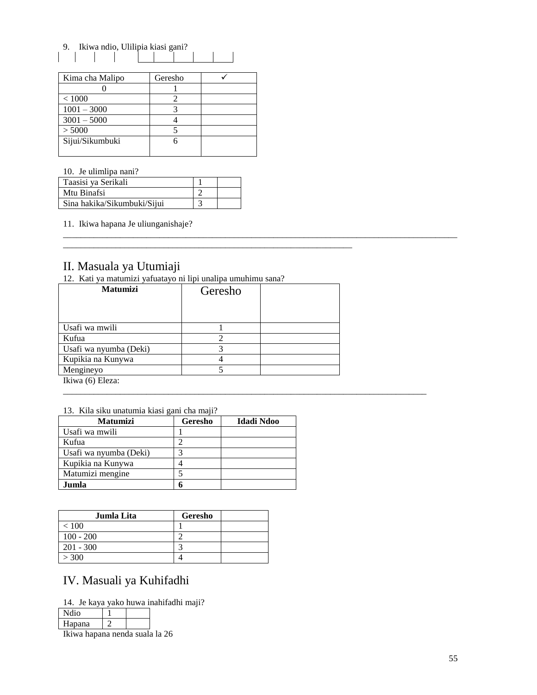9. Ikiwa ndio, Ulilipia kiasi gani?  $\mathbf{I}$  $\mathbf{I}$ 

| Kima cha Malipo | Geresho |  |
|-----------------|---------|--|
|                 |         |  |
| < 1000          |         |  |
| $1001 - 3000$   |         |  |
| $3001 - 5000$   |         |  |
| > 5000          |         |  |
| Sijui/Sikumbuki |         |  |
|                 |         |  |

10. Je ulimlipa nani?

| Taasisi ya Serikali         |  |
|-----------------------------|--|
| Mtu Binafsi                 |  |
| Sina hakika/Sikumbuki/Sijui |  |

11. Ikiwa hapana Je uliunganishaje?

#### II. Masuala ya Utumiaji

12. Kati ya matumizi yafuatayo ni lipi unalipa umuhimu sana?

| <b>Matumizi</b>                     | Geresho |  |
|-------------------------------------|---------|--|
|                                     |         |  |
| Usafi wa mwili                      |         |  |
| Kufua                               |         |  |
| Usafi wa nyumba (Deki)              |         |  |
| Kupikia na Kunywa                   |         |  |
| Mengineyo                           |         |  |
| $\lim_{\Omega}$ (6) $\lim_{\Omega}$ |         |  |

\_\_\_\_\_\_\_\_\_\_\_\_\_\_\_\_\_\_\_\_\_\_\_\_\_\_\_\_\_\_\_\_\_\_\_\_\_\_\_\_\_\_\_\_\_\_\_\_\_\_\_\_\_\_\_\_\_\_\_\_\_\_\_\_\_\_

\_\_\_\_\_\_\_\_\_\_\_\_\_\_\_\_\_\_\_\_\_\_\_\_\_\_\_\_\_\_\_\_\_\_\_\_\_\_\_\_\_\_\_\_\_\_\_\_\_\_\_\_\_\_\_\_\_\_\_\_\_\_\_\_\_\_\_\_\_\_\_\_\_\_\_\_\_\_\_\_\_\_\_\_\_\_\_\_\_\_

\_\_\_\_\_\_\_\_\_\_\_\_\_\_\_\_\_\_\_\_\_\_\_\_\_\_\_\_\_\_\_\_\_\_\_\_\_\_\_\_\_\_\_\_\_\_\_\_\_\_\_\_\_\_\_\_\_\_\_\_\_\_\_\_\_\_\_\_\_\_\_\_\_\_\_\_\_\_\_\_\_\_\_

Ikiwa (6) Eleza:

|  | 13. Kila siku unatumia kiasi gani cha maji? |  |  |
|--|---------------------------------------------|--|--|
|  |                                             |  |  |

| <b>Matumizi</b>        | Geresho | Idadi Ndoo |
|------------------------|---------|------------|
| Usafi wa mwili         |         |            |
| Kufua                  |         |            |
| Usafi wa nyumba (Deki) |         |            |
| Kupikia na Kunywa      |         |            |
| Matumizi mengine       |         |            |
| Jumla                  | n       |            |

| Jumla Lita  | Geresho |
|-------------|---------|
| < 100       |         |
| $100 - 200$ |         |
| $201 - 300$ |         |
| > 300       |         |

# IV. Masuali ya Kuhifadhi

14. Je kaya yako huwa inahifadhi maji?

Ndio 1

Hapana 2

Ikiwa hapana nenda suala la 26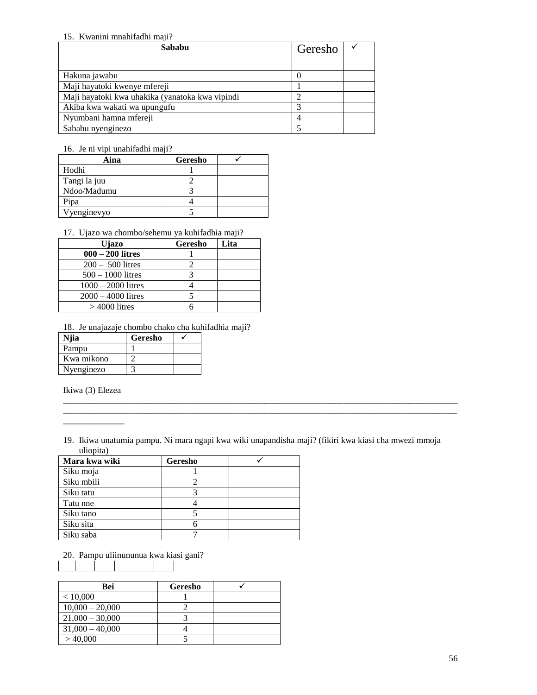#### 15. Kwanini mnahifadhi maji?

| Sababu                                          | Geresho |  |
|-------------------------------------------------|---------|--|
|                                                 |         |  |
| Hakuna jawabu                                   |         |  |
| Maji hayatoki kwenye mfereji                    |         |  |
| Maji hayatoki kwa uhakika (yanatoka kwa vipindi |         |  |
| Akiba kwa wakati wa upungufu                    |         |  |
| Nyumbani hamna mfereji                          |         |  |
| Sababu nyenginezo                               |         |  |

#### 16. Je ni vipi unahifadhi maji?

| Aina         | Geresho |  |
|--------------|---------|--|
| Hodhi        |         |  |
| Tangi la juu |         |  |
| Ndoo/Madumu  |         |  |
| Pipa         |         |  |
| /yenginevyo  |         |  |

#### 17. Ujazo wa chombo/sehemu ya kuhifadhia maji?

| Ujazo                | Geresho | Lita |
|----------------------|---------|------|
| $000 - 200$ litres   |         |      |
| $200 - 500$ litres   |         |      |
| $500 - 1000$ litres  |         |      |
| $1000 - 2000$ litres |         |      |
| $2000 - 4000$ litres |         |      |
| $>4000$ litres       |         |      |

18. Je unajazaje chombo chako cha kuhifadhia maji?

| Niia       | Geresho |  |
|------------|---------|--|
| Pampu      |         |  |
| Kwa mikono |         |  |
| Nyenginezo |         |  |

Ikiwa (3) Elezea

\_\_\_\_\_\_\_\_\_\_\_\_\_\_

19. Ikiwa unatumia pampu. Ni mara ngapi kwa wiki unapandisha maji? (fikiri kwa kiasi cha mwezi mmoja uliopita)

\_\_\_\_\_\_\_\_\_\_\_\_\_\_\_\_\_\_\_\_\_\_\_\_\_\_\_\_\_\_\_\_\_\_\_\_\_\_\_\_\_\_\_\_\_\_\_\_\_\_\_\_\_\_\_\_\_\_\_\_\_\_\_\_\_\_\_\_\_\_\_\_\_\_\_\_\_\_\_\_\_\_\_\_\_\_\_\_\_\_ \_\_\_\_\_\_\_\_\_\_\_\_\_\_\_\_\_\_\_\_\_\_\_\_\_\_\_\_\_\_\_\_\_\_\_\_\_\_\_\_\_\_\_\_\_\_\_\_\_\_\_\_\_\_\_\_\_\_\_\_\_\_\_\_\_\_\_\_\_\_\_\_\_\_\_\_\_\_\_\_\_\_\_\_\_\_\_\_\_\_

| Mara kwa wiki | Geresho |  |
|---------------|---------|--|
| Siku moja     |         |  |
| Siku mbili    |         |  |
| Siku tatu     |         |  |
| Tatu nne      |         |  |
| Siku tano     |         |  |
| Siku sita     |         |  |
| Siku saba     |         |  |

20. Pampu uliinununua kwa kiasi gani?

| Bei               | Geresho |  |
|-------------------|---------|--|
| < 10,000          |         |  |
| $10,000 - 20,000$ |         |  |
| $21,000 - 30,000$ |         |  |
| $31,000 - 40,000$ |         |  |
| >40,000           |         |  |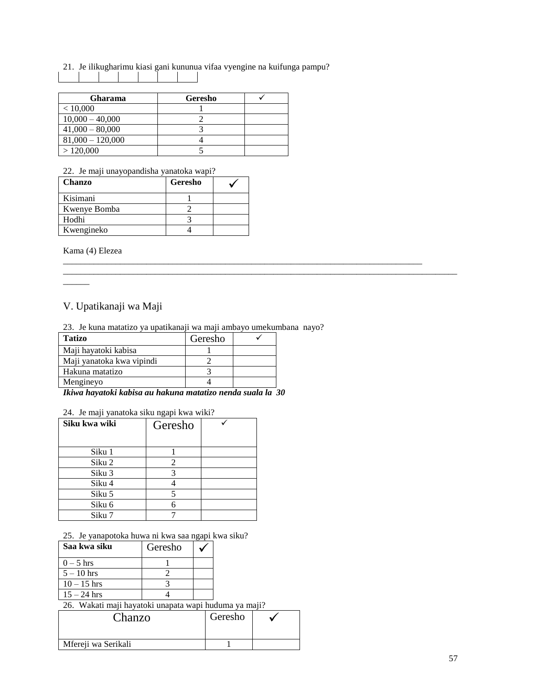21. Je ilikugharimu kiasi gani kununua vifaa vyengine na kuifunga pampu?

| Gharama            | Geresho |  |
|--------------------|---------|--|
| < 10,000           |         |  |
| $10,000 - 40,000$  |         |  |
| $41,000 - 80,000$  |         |  |
| $81,000 - 120,000$ |         |  |
| >120,000           |         |  |

22. Je maji unayopandisha yanatoka wapi?

| <b>Chanzo</b> | Geresho |  |
|---------------|---------|--|
| Kisimani      |         |  |
| Kwenye Bomba  |         |  |
| Hodhi         |         |  |
| Kwengineko    |         |  |

Kama (4) Elezea

 $\overline{\phantom{a}}$ 

### V. Upatikanaji wa Maji

| 23. Je kuna matatizo ya upatikanaji wa maji ambayo umekumbana nayo? |  |
|---------------------------------------------------------------------|--|
|                                                                     |  |

\_\_\_\_\_\_\_\_\_\_\_\_\_\_\_\_\_\_\_\_\_\_\_\_\_\_\_\_\_\_\_\_\_\_\_\_\_\_\_\_\_\_\_\_\_\_\_\_\_\_\_\_\_\_\_\_\_\_\_\_\_\_\_\_\_\_\_\_\_\_\_\_\_\_\_\_\_\_\_\_\_\_

\_\_\_\_\_\_\_\_\_\_\_\_\_\_\_\_\_\_\_\_\_\_\_\_\_\_\_\_\_\_\_\_\_\_\_\_\_\_\_\_\_\_\_\_\_\_\_\_\_\_\_\_\_\_\_\_\_\_\_\_\_\_\_\_\_\_\_\_\_\_\_\_\_\_\_\_\_\_\_\_\_\_\_\_\_\_\_\_\_\_

| 25. Je kuna matatizo ya upatikanaji wa maji ambayo umekuli |         |  |
|------------------------------------------------------------|---------|--|
| <b>Tatizo</b>                                              | Geresho |  |
| Maji hayatoki kabisa                                       |         |  |
| Maji yanatoka kwa vipindi                                  |         |  |
| Hakuna matatizo                                            |         |  |
| Mengineyo                                                  |         |  |
|                                                            |         |  |

*Ikiwa hayatoki kabisa au hakuna matatizo nenda suala la 30*

#### 24. Je maji yanatoka siku ngapi kwa wiki?

| Siku kwa wiki | Geresho |  |
|---------------|---------|--|
| Siku 1        |         |  |
| Siku 2        | 2       |  |
| Siku 3        |         |  |
| Siku 4        |         |  |
| Siku 5        |         |  |
| Siku 6        |         |  |
| Siku 7        |         |  |

25. Je yanapotoka huwa ni kwa saa ngapi kwa siku?

| Saa kwa siku  | Geresho |  |
|---------------|---------|--|
| $0-5$ hrs     |         |  |
| $5 - 10$ hrs  |         |  |
| $10 - 15$ hrs |         |  |
| $15 - 24$ hrs |         |  |

26. Wakati maji hayatoki unapata wapi huduma ya maji?

| Chanzo              | Geresho |  |
|---------------------|---------|--|
| Mfereji wa Serikali |         |  |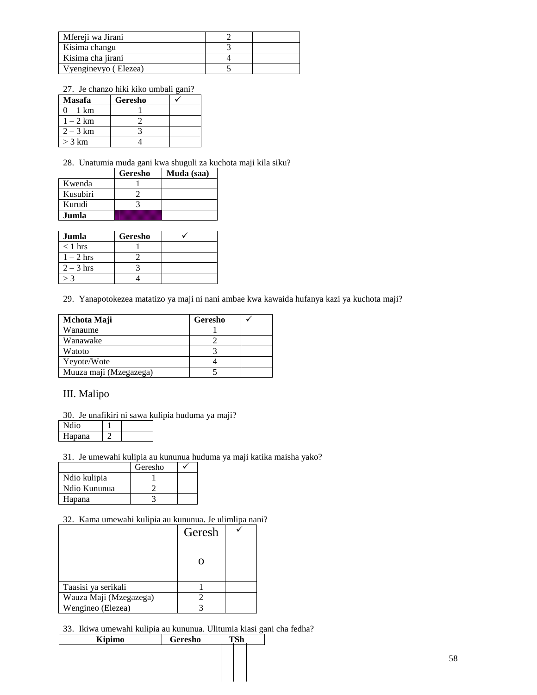| Mfereji wa Jirani    |  |
|----------------------|--|
| Kisima changu        |  |
| Kisima cha jirani    |  |
| Vyenginevyo (Elezea) |  |

27. Je chanzo hiki kiko umbali gani?

| <b>Masafa</b> | Geresho |  |
|---------------|---------|--|
| $0 - 1$ km    |         |  |
| $1-2$ km      |         |  |
| $2 - 3 km$    |         |  |
| $>$ 3 km      |         |  |

28. Unatumia muda gani kwa shuguli za kuchota maji kila siku?

|          | Geresho | Muda (saa) |
|----------|---------|------------|
| Kwenda   |         |            |
| Kusubiri |         |            |
| Kurudi   |         |            |
| Jumla    |         |            |

| Jumla       | Geresho |  |
|-------------|---------|--|
| $<$ 1 hrs   |         |  |
| $1-2$ hrs   |         |  |
| $2 - 3$ hrs |         |  |
|             |         |  |

29. Yanapotokezea matatizo ya maji ni nani ambae kwa kawaida hufanya kazi ya kuchota maji?

| Mchota Maji            | Geresho |  |
|------------------------|---------|--|
| Wanaume                |         |  |
| Wanawake               |         |  |
| Watoto                 |         |  |
| Yeyote/Wote            |         |  |
| Muuza maji (Mzegazega) |         |  |

#### III. Malipo

30. Je unafikiri ni sawa kulipia huduma ya maji?

| lanana |  |
|--------|--|

31. Je umewahi kulipia au kununua huduma ya maji katika maisha yako?

|              | Geresho |  |
|--------------|---------|--|
| Ndio kulipia |         |  |
| Ndio Kununua |         |  |
| Hapana       |         |  |

#### 32. Kama umewahi kulipia au kununua. Je ulimlipa nani?

|                        | Geresh |  |
|------------------------|--------|--|
|                        |        |  |
| Taasisi ya serikali    |        |  |
| Wauza Maji (Mzegazega) |        |  |
| Wengineo (Elezea)      |        |  |

33. Ikiwa umewahi kulipia au kununua. Ulitumia kiasi gani cha fedha?

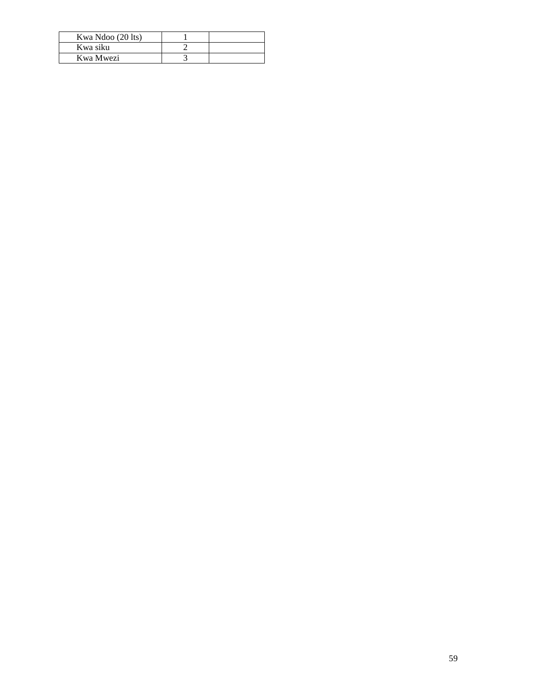| Kwa Ndoo (20 lts) |  |
|-------------------|--|
| Kwa siku          |  |
| Kwa Mwezi         |  |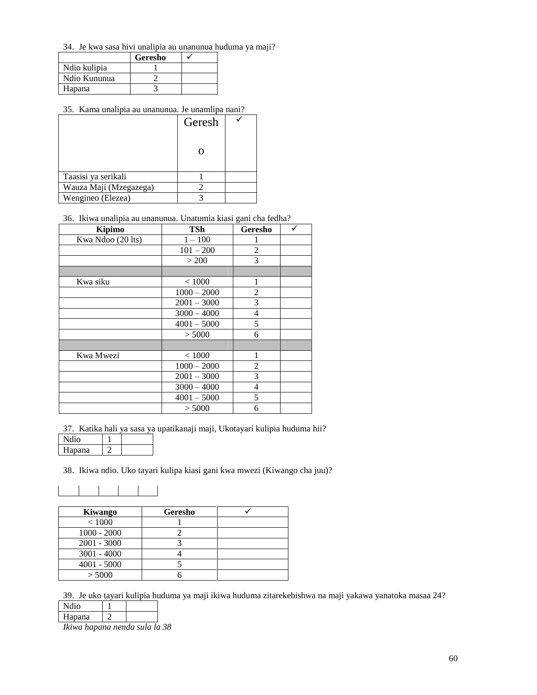34. Je kwa sasa hivi unalipia au unanunua huduma ya maji?

|              | Geresho |  |
|--------------|---------|--|
| Ndio kulipia |         |  |
| Ndio Kununua |         |  |
| Hapana       |         |  |

#### 35. Kama unalipia au unanunua. Je unamlipa nani?

|                        | Geresh |  |
|------------------------|--------|--|
|                        |        |  |
| Taasisi ya serikali    |        |  |
| Wauza Maji (Mzegazega) |        |  |
| Wengineo (Elezea)      |        |  |

#### 36. Ikiwa unalipia au unanunua. Unatumia kiasi gani cha fedha?

| Kipimo            | TSh           | Geresho        |  |
|-------------------|---------------|----------------|--|
| Kwa Ndoo (20 lts) | $1 - 100$     |                |  |
|                   | $101 - 200$   | $\overline{2}$ |  |
|                   | > 200         | 3              |  |
|                   |               |                |  |
| Kwa siku          | < 1000        | 1              |  |
|                   | $1000 - 2000$ | 2              |  |
|                   | $2001 - 3000$ | 3              |  |
|                   | $3000 - 4000$ | 4              |  |
|                   | $4001 - 5000$ | 5              |  |
|                   | > 5000        | 6              |  |
|                   |               |                |  |
| Kwa Mwezi         | ${}< 1000$    | 1              |  |
|                   | $1000 - 2000$ | 2              |  |
|                   | $2001 - 3000$ | 3              |  |
|                   | $3000 - 4000$ | 4              |  |
|                   | $4001 - 5000$ | 5              |  |
|                   | > 5000        | 6              |  |

37. Katika hali ya sasa ya upatikanaji maji, Ukotayari kulipia huduma hii?

| <b>Ndio</b> |  |
|-------------|--|
| Hapana      |  |

38. Ikiwa ndio. Uko tayari kulipa kiasi gani kwa mwezi (Kiwango cha juu)?

| Kiwango       | Geresho |  |
|---------------|---------|--|
| < 1000        |         |  |
| $1000 - 2000$ |         |  |
| $2001 - 3000$ |         |  |
| $3001 - 4000$ |         |  |
| $4001 - 5000$ |         |  |
| > 5000        |         |  |

39. Je uko tayari kulipia huduma ya maji ikiwa huduma zitarekebishwa na maji yakawa yanatoka masaa 24?

Ndio 1 Hapana 2

*Ikiwa hapana nenda sula la 38*